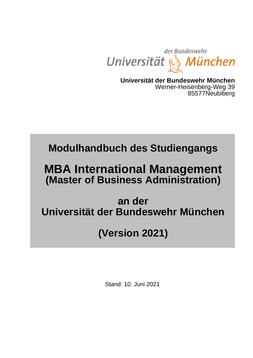

**Universität der Bundeswehr München** Werner-Heisenberg-Weg 39 85577Neubiberg

# **Modulhandbuch des Studiengangs**

# **MBA International Management (Master of Business Administration)**

## **an der Universität der Bundeswehr München**

# **(Version 2021)**

Stand: 10. Juni 2021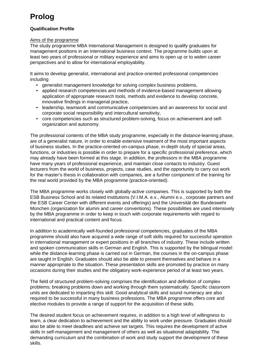## **Prolog**

#### <span id="page-1-0"></span>**Qualification Profile**

#### Aims of the programme

The study programme MBA International Management is designed to qualify graduates for management positions in an international business context. The programme builds upon at least two years of professional or military experience and aims to open up or to widen career perspectives and to allow for international employability.

It aims to develop generalist, international and practice-oriented professional competencies including

- generalist management knowledge for solving complex business problems,
- applied research competencies and methods of evidence-based management allowing application of appropriate research tools, methods and evidence to develop concrete, innovative findings in managerial practice,
- leadership, teamwork and communicative competencies and an awareness for social and corporate social responsibility and intercultural sensitivity,
- core competencies such as structured problem-solving, focus on achievement and selforganization and autonomy.

The professional contents of the MBA study programme, especially in the distance-learning phase, are of a generalist nature, in order to enable extensive treatment of the most important aspects of business studies. In the practice-oriented on-campus phase, in-depth study of special areas, functions, or industries is possible in order to prepare for a specific professional preference, which may already have been formed at this stage. In addition, the professors in the MBA programme have many years of professional experience, and maintain close contacts to industry. Guest lecturers from the world of business, projects, case studies, and the opportunity to carry out work for the master's thesis in collaboration with companies, are a further component of the training for the real world provided by the MBA programme (practice-oriented).

The MBA programme works closely with globally-active companies. This is supported by both the ESB Business School and its related institutions (V.I.M.A. e.v., Alumni e.v., corporate partners and the ESB Career Center with different events and offerings) and the Universität der Bundeswehr München (organization for alumni and career conventions). These possibilities are used intensively by the MBA programme in order to keep in touch with corporate requirements with regard to international and practical content and focus.

In addition to academically well-founded professional competencies, graduates of the MBA programme should also have acquired a wide range of soft skills required for successful operation in international management or expert positions in all branches of industry. These include written and spoken communication skills in German and English. This is supported by the bilingual model: while the distance-learning phase is carried out in German, the courses in the on-campus phase are taught in English. Graduates should also be able to present themselves and behave in a manner appropriate to the situation. These presentation skills are promoted by practice on many occasions during their studies and the obligatory work-experience period of at least two years.

The field of structured problem-solving comprises the identification and definition of complex problems; breaking problems down and working through them systematically. Specific classroom units are dedicated to imparting this skill. Good analytical skills and sound numeracy are also required to be successful in many business professions. The MBA programme offers core and elective modules to provide a range of support for the acquisition of these skills.

The desired student focus on achievement requires, in addition to a high level of willingness to learn, a clear dedication to achievement and the ability to work under pressure. Graduates should also be able to meet deadlines and achieve set targets. This requires the development of active skills in self-management and management of others as well as situational adaptability. The demanding curriculum and the combination of work and study support the development of these skills.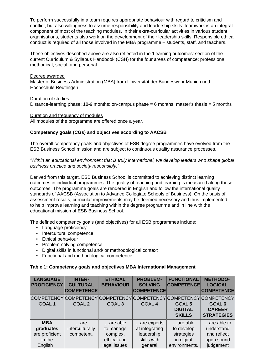To perform successfully in a team requires appropriate behaviour with regard to criticism and conflict, but also willingness to assume responsibility and leadership skills: teamwork is an integral component of most of the teaching modules. In their extra-curricular activities in various student organisations, students also work on the development of their leadership skills. Responsible ethical conduct is required of all those involved in the MBA programme – students, staff, and teachers.

These objectives described above are also reflected in the 'Learning outcomes' section of the current Curriculum & Syllabus Handbook (CSH) for the four areas of competence: professional, methodical, social, and personal.

Degree awarded Master of Business Administration (MBA) from Universität der Bundeswehr Munich und Hochschule Reutlingen

Duration of studies

Distance-learning phase: 18-9 months: on-campus phase = 6 months, master's thesis = 5 months

Duration and frequency of modules

All modules of the programme are offered once a year.

#### **Competency goals (CGs) and objectives according to AACSB**

The overall competency goals and objectives of ESB degree programmes have evolved from the ESB Business School mission and are subject to continuous quality assurance processes.

'Within an educational environment that is truly international, we develop leaders who shape global business practice and society responsibly.'

Derived from this target, ESB Business School is committed to achieving distinct learning outcomes in individual programmes. The quality of teaching and learning is measured along these outcomes. The programme goals are rendered in English and follow the international quality standards of AACSB (Association to Advance Collegiate Schools of Business). On the basis of assessment results, curricular improvements may be deemed necessary and thus implemented to help improve learning and teaching within the degree programme and in line with the educational mission of ESB Business School.

The defined competency goals (and objectives) for all ESB programmes include:

- Language proficiency
- Intercultural competence
- Ethical behaviour
- Problem-solving competence
- Digital skills in functional and/ or methodological context
- Functional and methodological competence

#### **Table 1: Competency goals and objectives MBA International Management**

| <b>LANGUAGE</b><br><b>PROFICIENCY</b>                             | <b>INTER-</b><br><b>CULTURAL</b><br><b>COMPETENCE</b> | <b>ETHICAL</b><br><b>BEHAVIOUR</b> | <b>PROBLEM-</b><br><b>SOLVING</b><br><b>COMPETENCE</b> | <b>FUNCTIONAL</b><br><b>COMPETENCE</b> | <b>METHODO-</b><br><b>LOGICAL</b><br><b>COMPETENCE</b> |
|-------------------------------------------------------------------|-------------------------------------------------------|------------------------------------|--------------------------------------------------------|----------------------------------------|--------------------------------------------------------|
| COMPETENCY COMPETENCY COMPETENCY COMPETENCY COMPETENCY COMPETENCY |                                                       |                                    |                                                        |                                        |                                                        |
| GOAL <sub>1</sub>                                                 | <b>GOAL 2</b>                                         | GOAL <sub>3</sub>                  | <b>GOAL 4</b>                                          | GOAL 5                                 | GOAL 6                                                 |
|                                                                   |                                                       |                                    |                                                        | <b>DIGITAL</b>                         | <b>CAREER</b>                                          |
|                                                                   |                                                       |                                    |                                                        | <b>SKILLS</b>                          | <b>STRATEGIES</b>                                      |
| <b>MBA</b>                                                        | $\dots$ are                                           | are able                           | are experts                                            | are able                               | are able to                                            |
| graduates                                                         | interculturally                                       | to manage                          | at integrating                                         | to develop                             | understand                                             |
| are proficient                                                    | competent.                                            | complex,                           | leadership                                             | strategies                             | and reflect                                            |
| in the                                                            |                                                       | ethical and                        | skills with                                            | in digital                             | upon sound                                             |
| English                                                           |                                                       | legal issues                       | general                                                | environments.                          | judgement                                              |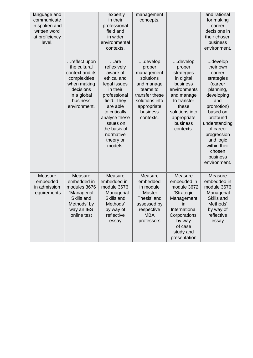| language and<br>communicate<br>in spoken and<br>written word<br>at proficiency<br>level. |                                                                                                                                        | expertly<br>in their<br>professional<br>field and<br>in wider<br>environmental<br>contexts.                                                                                                                                 | management<br>concepts.                                                                                                                            |                                                                                                                                                                           | and rational<br>for making<br>career<br>decisions in<br>their chosen<br>business<br>environment.                                                                                                                                                |
|------------------------------------------------------------------------------------------|----------------------------------------------------------------------------------------------------------------------------------------|-----------------------------------------------------------------------------------------------------------------------------------------------------------------------------------------------------------------------------|----------------------------------------------------------------------------------------------------------------------------------------------------|---------------------------------------------------------------------------------------------------------------------------------------------------------------------------|-------------------------------------------------------------------------------------------------------------------------------------------------------------------------------------------------------------------------------------------------|
|                                                                                          | reflect upon<br>the cultural<br>context and its<br>complexities<br>when making<br>decisions<br>in a global<br>business<br>environment. | $$ are<br>reflexively<br>aware of<br>ethical and<br>legal issues<br>in their<br>professional<br>field. They<br>are able<br>to critically<br>analyse these<br>issues on<br>the basis of<br>normative<br>theory or<br>models. | develop<br>proper<br>management<br>solutions<br>and manage<br>teams to<br>transfer these<br>solutions into<br>appropriate<br>business<br>contexts. | develop<br>proper<br>strategies<br>in digital<br>business<br>environments<br>and manage<br>to transfer<br>these<br>solutions into<br>appropriate<br>business<br>contexts. | develop<br>their own<br>career<br>strategies<br>(career<br>planning,<br>developing<br>and<br>promotion)<br>based on<br>profound<br>understanding<br>of career<br>progression<br>and logic<br>within their<br>chosen<br>business<br>environment. |
| Measure<br>embedded<br>in admission<br>requirements                                      | Measure<br>embedded in<br>modules 3676<br>'Managerial<br>Skills and<br>Methods' by<br>way an IES<br>online test                        | Measure<br>embedded in<br>module 3676<br>'Managerial<br>Skills and<br>Methods'<br>by way of<br>reflective<br>essay                                                                                                          | Measure<br>embedded<br>in module<br>'Master<br>Thesis' and<br>assessed by<br>respective<br><b>MBA</b><br>professors                                | Measure<br>embedded in<br>module 3672<br>'Strategic<br>Management<br>in<br>International<br>Corporations'<br>by way<br>of case<br>study and<br>presentation               | Measure<br>embedded in<br>module 3676<br>'Managerial<br>Skills and<br>Methods'<br>by way of<br>reflective<br>essay                                                                                                                              |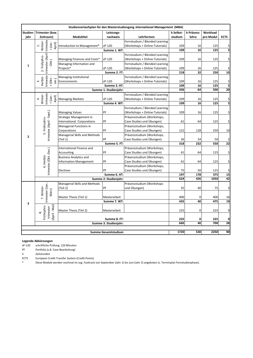|                                           | Studienverlaufsplan für den Masterstudiengang International Management (MBA) |                               |                       |                                |           |             |           |                         |
|-------------------------------------------|------------------------------------------------------------------------------|-------------------------------|-----------------------|--------------------------------|-----------|-------------|-----------|-------------------------|
| Studien-                                  | Trimester (bzw.                                                              |                               | Leistungs-            |                                | h Selbst- | h Präsenz-  | Workload  |                         |
| jahr                                      | Zeitraum)                                                                    | Modultitel                    | nachweis              | Lehrformen                     | studium   | lehre       | pro Modul | <b>ECTS</b>             |
|                                           |                                                                              |                               |                       | Fernstudium / Blended Learning |           |             |           |                         |
|                                           | trimeste<br>Winter-<br>r (Jan.<br>April)<br>$\ddot{ }$                       | Introduction to Management*   | sP-120                | (Workshops + Online-Tutorials) | 109       | 16          | 125       | 5                       |
|                                           |                                                                              |                               | Summe 1. WT:          |                                | 109       | 16          | 125       | 5                       |
|                                           |                                                                              |                               |                       | Fernstudium / Blended Learning |           |             |           |                         |
|                                           | trimester (April<br>2. Frühjahrs-                                            | Managing Finances and Costs*  | sP-120                | (Workshops + Online-Tutorials) | 109       | 16          | 125       | 5                       |
| $\mathbf{1}$                              | Okt.)                                                                        | Managing Information and      |                       | Fernstudium / Blended Learning |           |             |           |                         |
|                                           |                                                                              | Projects*                     | sP-120                | (Workshops + Online-Tutorials) | 109       | 16          | 125       | 5                       |
|                                           |                                                                              |                               | Summe 2. FT:          |                                | 218       | 32          | 250       | 10                      |
|                                           | trimeste                                                                     | Managing Institutional        |                       | Fernstudium / Blended Learning |           |             |           |                         |
|                                           | Herbst-<br>r (Okt.-<br>Jan.)<br>ന്                                           | Environments                  | sP-120                | (Workshops + Online-Tutorials) | 109       | 16          | 125       | 5                       |
|                                           |                                                                              |                               | Summe 3. HT:          |                                | 109       | 16          | 125       | $\overline{\mathbf{5}}$ |
|                                           |                                                                              |                               | Summe 1. Studienjahr: |                                | 436       | 64          | 500       | $\overline{20}$         |
|                                           |                                                                              |                               |                       | Fernstudium / Blended Learning |           |             |           |                         |
|                                           | trimeste<br>Winter-<br>r (Jan.-<br>April)<br>4                               | <b>Managing Markets</b>       | sP-120                | (Workshops + Online-Tutorials) | 109       | 16          | 125       | 5                       |
|                                           |                                                                              |                               | Summe 4. WT:          |                                | 109       | 16          | 125       | 5                       |
|                                           |                                                                              |                               |                       | Fernstudium / Blended Learning |           |             |           |                         |
|                                           |                                                                              | <b>Managing Values</b>        | PF                    | (Workshops + Online-Tutorials) | 109       | 16          | 125       | 5                       |
|                                           |                                                                              | Strategic Management in       |                       | Präsenzstudium (Workshops,     |           |             |           |                         |
|                                           |                                                                              | International Corporations    | PF                    | Case Studies und Übungen)      | 61        | 64          | 125       | 5                       |
|                                           |                                                                              | Managerial Functions in       |                       | Präsenzstudium (Workshops,     |           |             |           |                         |
|                                           | trimester (April - Sept.)<br>5. Frührjahrs-                                  | Corporations                  | PF                    | Case Studies und Übungen)      | 122       | 128         | 250       | 10                      |
| $\overline{2}$                            |                                                                              | Managerial Skills and Methods |                       | Präsenzstudium (Workshops,     |           |             |           |                         |
|                                           |                                                                              | (Teil 1)                      | PF                    | Case Studies und Übungen)      | 26        | 24          | 50        | 2                       |
|                                           |                                                                              |                               | Summe 5. FT:          |                                | 318       | 232         | 550       | 22                      |
|                                           |                                                                              | International Finance and     |                       | Präsenzstudium (Workshops,     |           |             |           |                         |
|                                           | trimester (Okt.-Dez.)                                                        | Accounting                    | PF                    | Case Studies und Übungen)      | 61        | 64          | 125       | 5                       |
|                                           |                                                                              | <b>Business Analytics and</b> |                       | Präsenzstudium (Workshops,     |           |             |           |                         |
|                                           |                                                                              | <b>Information Management</b> | PF                    | Case Studies und Übungen)      | 61        | 64          | 125       | 5                       |
|                                           | 6. Herbst-                                                                   |                               |                       | Präsenzstudium (Workshops,     |           |             |           |                         |
|                                           |                                                                              | Electives                     | PF                    | Case Studies und Übungen)      | 75        | 50          | 125       | 5                       |
|                                           |                                                                              |                               | Summe 6. HT:          |                                | 197       | 178         | 375       | 15                      |
|                                           |                                                                              |                               | Summe 2. Studienjahr: |                                | 624       | 426         | 1050      | 42                      |
|                                           |                                                                              | Managerial Skills and Methods |                       | Präsenzstudium (Workshops      |           |             |           |                         |
|                                           |                                                                              | (Teil 2)                      | PF                    | und Übungen)                   | 35        | 40          | 75        | 3                       |
|                                           | trimester (Jan.-<br>7. Winter-<br>März)                                      |                               |                       |                                |           |             |           |                         |
|                                           |                                                                              | Master Thesis (Teil 1)        | Masterarbeit          |                                | 400       | 0           | 400       | 16                      |
|                                           |                                                                              |                               | Summe 7. WT:          |                                | 435       | 40          | 475       | 19                      |
| 3                                         |                                                                              |                               |                       |                                |           |             |           |                         |
|                                           | Frührjahrs-<br>April - Mai)<br>trimester                                     | Master Thesis (Teil 2)        | Masterarbeit          |                                | 225       | $\mathbf 0$ | 225       | 9                       |
|                                           | ∞                                                                            |                               |                       |                                |           |             |           |                         |
|                                           |                                                                              |                               | Summe 8. FT:          |                                | 225       | 0           | 225       | 9                       |
|                                           |                                                                              |                               | Summe 3. Studienjahr: |                                | 660       | 40          | 700       | 28                      |
|                                           |                                                                              |                               |                       |                                |           |             |           |                         |
| 1720<br>530<br><b>Summe Gesamtstudium</b> |                                                                              |                               |                       |                                |           |             | 2250      | 90                      |

#### **Legende Abkürzungen**

sP-120 schriftliche Prüfung, 120 Minuten<br>PF Portfolio (z.B. Case-Bearbeitung)

Portfolio (z.B. Case-Bearbeitung)

h Zeitstunden<br>ECTS European Cr

European Credit Transfer System (Credit Points)

\* Diese Module werden nochmal im sog. Fasttrack von September (Jahr 1) bis Juni (Jahr 2) angeboten (s. Terminplan Fernstudienphase).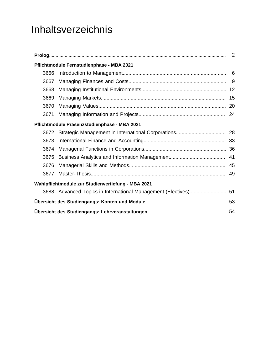# Inhaltsverzeichnis

|      | Pflichtmodule Fernstudienphase - MBA 2021                       |  |  |
|------|-----------------------------------------------------------------|--|--|
| 3666 |                                                                 |  |  |
| 3667 |                                                                 |  |  |
| 3668 |                                                                 |  |  |
| 3669 |                                                                 |  |  |
| 3670 |                                                                 |  |  |
| 3671 |                                                                 |  |  |
|      | Pflichtmodule Präsenzstudienphase - MBA 2021                    |  |  |
|      |                                                                 |  |  |
| 3673 |                                                                 |  |  |
| 3674 |                                                                 |  |  |
| 3675 |                                                                 |  |  |
| 3676 |                                                                 |  |  |
| 3677 |                                                                 |  |  |
|      | Wahlpflichtmodule zur Studienvertiefung - MBA 2021              |  |  |
|      | 3688 Advanced Topics in International Management (Electives) 51 |  |  |
|      |                                                                 |  |  |
|      |                                                                 |  |  |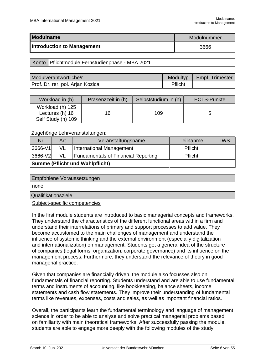<span id="page-6-0"></span>

| Modulname                         | Modulnummer |
|-----------------------------------|-------------|
| <b>Introduction to Management</b> | 3666        |

Konto | Pflichtmodule Fernstudienphase - MBA 2021

| Modulverantwortliche/r           | Modultyp | Empf. Trimester |
|----------------------------------|----------|-----------------|
| Prof. Dr. rer. pol. Arjan Kozica | Pflicht  |                 |

| Workload in (h)                                           | Präsenzzeit in (h) | Selbststudium in (h) | <b>ECTS-Punkte</b> |
|-----------------------------------------------------------|--------------------|----------------------|--------------------|
| Workload (h) 125<br>Lectures (h) 16<br>Self Study (h) 109 | 16                 | 109                  |                    |

Zugehörige Lehrveranstaltungen:

| Nr.                                                                           | Art | Veranstaltungsname       | Teilnahme | <b>TWS</b> |  |
|-------------------------------------------------------------------------------|-----|--------------------------|-----------|------------|--|
| $3666-V1$                                                                     | VL  | International Management | Pflicht   |            |  |
| 3666-V2<br>VL<br><b>Fundamentals of Financial Reporting</b><br><b>Pflicht</b> |     |                          |           |            |  |
| <b>Summe (Pflicht und Wahlpflicht)</b>                                        |     |                          |           |            |  |

| Empfohlene Voraussetzungen |
|----------------------------|
| none                       |
| Qualifikationsziele        |
|                            |

Subject-specific competencies

In the first module students are introduced to basic managerial concepts and frameworks. They understand the characteristics of the different functional areas within a firm and understand their interrelations of primary and support processes to add value. They become accustomed to the main challenges of management and understand the influence of systemic thinking and the external environment (especially digitalization and internationalization) on management. Students get a general idea of the structure of companies (legal forms, organization, corporate governance) and its influence on the management process. Furthermore, they understand the relevance of theory in good managerial practice.

Given that companies are financially driven, the module also focusses also on fundamentals of financial reporting. Students understand and are able to use fundamental terms and instruments of accounting, like bookkeeping, balance sheets, income statements and cash flow statements. They improve their understanding of fundamental terms like revenues, expenses, costs and sales, as well as important financial ratios.

Overall, the participants learn the fundamental terminology and language of management science in order to be able to analyse and solve practical managerial problems based on familiarity with main theoretical frameworks. After successfully passing the module, students are able to engage more deeply with the following modules of the study.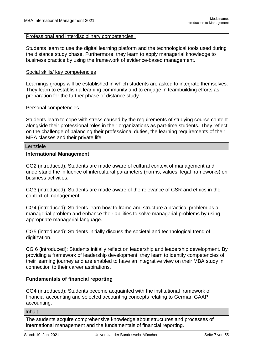Professional and interdisciplinary competencies

Students learn to use the digital learning platform and the technological tools used during the distance study phase. Furthermore, they learn to apply managerial knowledge to business practice by using the framework of evidence-based management.

#### Social skills/ key competencies

Learnings groups will be established in which students are asked to integrate themselves. They learn to establish a learning community and to engage in teambuilding efforts as preparation for the further phase of distance study.

#### Personal competencies

Students learn to cope with stress caused by the requirements of studying course content alongside their professional roles in their organizations as part-time students. They reflect on the challenge of balancing their professional duties, the learning requirements of their MBA classes and their private life.

#### Lernziele

#### **International Management**

CG2 (introduced): Students are made aware of cultural context of management and understand the influence of intercultural parameters (norms, values, legal frameworks) on business activities.

CG3 (introduced): Students are made aware of the relevance of CSR and ethics in the context of management.

CG4 (introduced): Students learn how to frame and structure a practical problem as a managerial problem and enhance their abilities to solve managerial problems by using appropriate managerial language.

CG5 (introduced): Students initially discuss the societal and technological trend of digitization.

CG 6 (introduced): Students initially reflect on leadership and leadership development. By providing a framework of leadership development, they learn to identify competencies of their learning journey and are enabled to have an integrative view on their MBA study in connection to their career aspirations.

#### **Fundamentals of financial reporting**

CG4 (introduced): Students become acquainted with the institutional framework of financial accounting and selected accounting concepts relating to German GAAP accounting.

#### Inhalt

The students acquire comprehensive knowledge about structures and processes of international management and the fundamentals of financial reporting.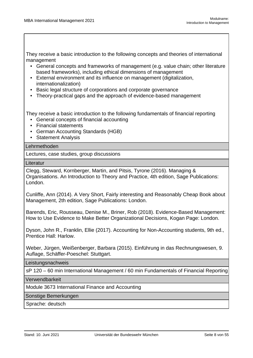They receive a basic introduction to the following concepts and theories of international management

- General concepts and frameworks of management (e.g. value chain; other literature based frameworks), including ethical dimensions of management
- External environment and its influence on management (digitalization, internationalization)
- Basic legal structure of corporations and corporate governance
- Theory-practical gaps and the approach of evidence-based management

They receive a basic introduction to the following fundamentals of financial reporting

- General concepts of financial accounting
- Financial statements
- German Accounting Standards (HGB)
- Statement Analysis

#### Lehrmethoden

Lectures, case studies, group discussions

**Literatur** 

Clegg, Steward, Kornberger, Martin, and Pitsis, Tyrone (2016). Managing & Organisations. An Introduction to Theory and Practice, 4th edition, Sage Publications: London.

Cunliffe, Ann (2014). A Very Short, Fairly interesting and Reasonably Cheap Book about Management, 2th edition, Sage Publications: London.

Barends, Eric, Rousseau, Denise M., Briner, Rob (2018). Evidence-Based Management: How to Use Evidence to Make Better Organizational Decisions, Kogan Page: London.

Dyson, John R., Franklin, Ellie (2017). Accounting for Non-Accounting students, 9th ed., Prentice Hall: Harlow.

Weber, Jürgen, Weißenberger, Barbara (2015). Einführung in das Rechnungswesen, 9. Auflage, Schäffer-Poeschel: Stuttgart.

**Leistungsnachweis** 

sP 120 – 60 min International Management / 60 min Fundamentals of Financial Reporting

Verwendbarkeit

Module 3673 International Finance and Accounting

Sonstige Bemerkungen

Sprache: deutsch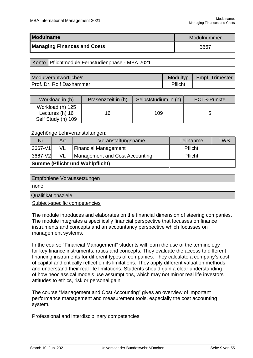<span id="page-9-0"></span>

| Modulname                          | Modulnummer |
|------------------------------------|-------------|
| <b>Managing Finances and Costs</b> | 3667        |

Konto | Pflichtmodule Fernstudienphase - MBA 2021

| Modulverantwortliche/r   | Modultyp | Empf. Trimester |
|--------------------------|----------|-----------------|
| Prof. Dr. Rolf Daxhammer | Pflicht  |                 |

| Workload in (h)                                           | Präsenzzeit in (h) | Selbststudium in (h) | <b>ECTS-Punkte</b> |
|-----------------------------------------------------------|--------------------|----------------------|--------------------|
| Workload (h) 125<br>Lectures (h) 16<br>Self Study (h) 109 | 16                 | 109                  |                    |

Zugehörige Lehrveranstaltungen:

| Nr.                                    | Art | Veranstaltungsname                    | Teilnahme | <b>TWS</b> |
|----------------------------------------|-----|---------------------------------------|-----------|------------|
| 3667-V1                                | VL  | <b>Financial Management</b>           | Pflicht   |            |
| 3667-V2                                | VL  | <b>Management and Cost Accounting</b> | Pflicht   |            |
| <b>Summe (Pflicht und Wahlpflicht)</b> |     |                                       |           |            |

| Empfohlene Voraussetzungen    |  |
|-------------------------------|--|
| none                          |  |
| Qualifikationsziele           |  |
| Subject-specific competencies |  |

The module introduces and elaborates on the financial dimension of steering companies. The module integrates a specifically financial perspective that focusses on finance instruments and concepts and an accountancy perspective which focusses on management systems.

In the course "Financial Management" students will learn the use of the terminology for key finance instruments, ratios and concepts. They evaluate the access to different financing instruments for different types of companies. They calculate a company's cost of capital and critically reflect on its limitations. They apply different valuation methods and understand their real-life limitations. Students should gain a clear understanding of how neoclassical models use assumptions, which may not mirror real life investors' attitudes to ethics, risk or personal gain.

The course "Management and Cost Accounting" gives an overview of important performance management and measurement tools, especially the cost accounting system.

Professional and interdisciplinary competencies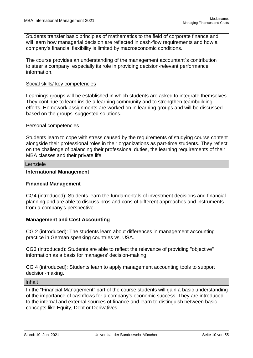Students transfer basic principles of mathematics to the field of corporate finance and will learn how managerial decision are reflected in cash-flow requirements and how a company's financial flexibility is limited by macroeconomic conditions.

The course provides an understanding of the management accountant´s contribution to steer a company, especially its role in providing decision-relevant performance information.

#### Social skills/ key competencies

Learnings groups will be established in which students are asked to integrate themselves. They continue to learn inside a learning community and to strengthen teambuilding efforts. Homework assignments are worked on in learning groups and will be discussed based on the groups' suggested solutions.

#### Personal competencies

Students learn to cope with stress caused by the requirements of studying course content alongside their professional roles in their organizations as part-time students. They reflect on the challenge of balancing their professional duties, the learning requirements of their MBA classes and their private life.

#### Lernziele

#### **International Management**

#### **Financial Management**

CG4 (introduced): Students learn the fundamentals of investment decisions and financial planning and are able to discuss pros and cons of different approaches and instruments from a company's perspective.

#### **Management and Cost Accounting**

CG 2 (introduced): The students learn about differences in management accounting practice in German speaking countries vs. USA.

CG3 (introduced): Students are able to reflect the relevance of providing "objective" information as a basis for managers' decision-making.

CG 4 (introduced): Students learn to apply management accounting tools to support decision-making.

Inhalt

In the "Financial Management" part of the course students will gain a basic understanding of the importance of cashflows for a company's economic success. They are introduced to the internal and external sources of finance and learn to distinguish between basic concepts like Equity, Debt or Derivatives.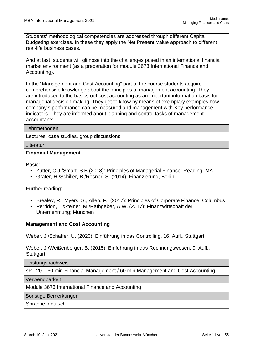Students' methodological competencies are addressed through different Capital Budgeting exercises. In these they apply the Net Present Value approach to different real-life business cases.

And at last, students will glimpse into the challenges posed in an international financial market environment (as a preparation for module 3673 International Finance and Accounting).

In the "Management and Cost Accounting" part of the course students acquire comprehensive knowledge about the principles of management accounting. They are introduced to the basics oof cost accounting as an important information basis for managerial decision making. They get to know by means of exemplary examples how company's performance can be measured and management with Key performance indicators. They are informed about planning and control tasks of management accountants.

#### Lehrmethoden

Lectures, case studies, group discussions

#### **Literatur**

#### **Financial Management**

Basic:

- Zutter, C.J./Smart, S.B (2018): Principles of Managerial Finance; Reading, MA
- Gräfer, H./Schiller, B./Rösner, S. (2014): Finanzierung, Berlin

Further reading:

- Brealey, R., Myers, S., Allen, F., (2017): Principles of Corporate Finance, Columbus
- Perridon, L./Steiner, M./Rathgeber, A.W. (2017): Finanzwirtschaft der Unternehmung; München

#### **Management and Cost Accounting**

Weber, J./Schäffer, U. (2020): Einführung in das Controlling, 16. Aufl., Stuttgart.

Weber, J./Weißenberger, B. (2015): Einführung in das Rechnungswesen, 9. Aufl., Stuttgart.

**Leistungsnachweis** 

sP 120 – 60 min Financial Management / 60 min Management and Cost Accounting

Verwendbarkeit

Module 3673 International Finance and Accounting

Sonstige Bemerkungen

Sprache: deutsch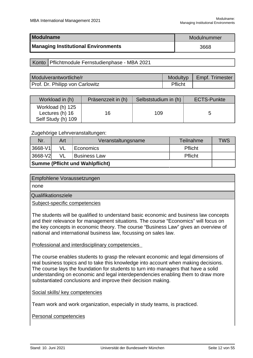<span id="page-12-0"></span>

| <b>Modulname</b>                           | Modulnummer |  |
|--------------------------------------------|-------------|--|
| <b>Managing Institutional Environments</b> | 3668        |  |

Konto | Pflichtmodule Fernstudienphase - MBA 2021

| Modulverantwortliche/r          | <b>Modultyp</b> | Empf. Trimester |
|---------------------------------|-----------------|-----------------|
| Prof. Dr. Philipp von Carlowitz | Pflicht         |                 |

| Workload in (h)                                           | Präsenzzeit in (h) | Selbststudium in (h) | <b>ECTS-Punkte</b> |
|-----------------------------------------------------------|--------------------|----------------------|--------------------|
| Workload (h) 125<br>Lectures (h) 16<br>Self Study (h) 109 | 16                 | 109                  |                    |

Zugehörige Lehrveranstaltungen:

| Nr.                                    | Art | Veranstaltungsname  | Teilnahme      | <b>TWS</b> |
|----------------------------------------|-----|---------------------|----------------|------------|
| 3668-V1                                |     | Economics           | Pflicht        |            |
| 3668-V2                                | VL  | <b>Business Law</b> | <b>Pflicht</b> |            |
| <b>Summe (Pflicht und Wahlpflicht)</b> |     |                     |                |            |

| Empfohlene Voraussetzungen |
|----------------------------|
| none                       |
| Qualifikationsziele        |

Subject-specific competencies

The students will be qualified to understand basic economic and business law concepts and their relevance for management situations. The course "Economics" will focus on the key concepts in economic theory. The course "Business Law" gives an overview of national and international business law, focussing on sales law.

#### Professional and interdisciplinary competencies

The course enables students to grasp the relevant economic and legal dimensions of real business topics and to take this knowledge into account when making decisions. The course lays the foundation for students to turn into managers that have a solid understanding on economic and legal interdependencies enabling them to draw more substantiated conclusions and improve their decision making.

Social skills/ key competencies

Team work and work organization, especially in study teams, is practiced.

Personal competencies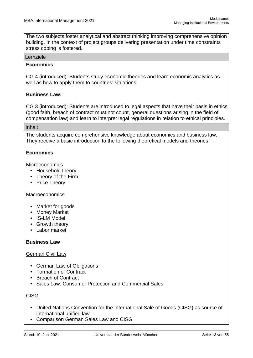The two subjects foster analytical and abstract thinking improving comprehensive opinion building. In the context of project groups delivering presentation under time constraints stress coping is fostered.

#### Lernziele

#### **Economics**:

CG 4 (introduced): Students study economic theories and learn economic analytics as well as how to apply them to countries' situations.

#### **Business Law:**

CG 3 (introduced): Students are introduced to legal aspects that have their basis in ethics (good faith, breach of contract must not count, general questions arising in the field of compensation law) and learn to interpret legal regulations in relation to ethical principles.

#### Inhalt

The students acquire comprehensive knowledge about economics and business law. They receive a basic introduction to the following theoretical models and theories:

#### **Economics**

**Microeconomics** 

- Household theory
- Theory of the Firm
- Price Theory

#### Macroeconomics

- Market for goods
- Money Market
- IS-LM Model
- Growth theory
- Labor market

#### **Business Law**

#### German Civil Law

- German Law of Obligations
- Formation of Contract
- Breach of Contract
- Sales Law: Consumer Protection and Commercial Sales

#### CISG

- United Nations Convention for the International Sale of Goods (CISG) as source of international unified law
- Comparison German Sales Law and CISG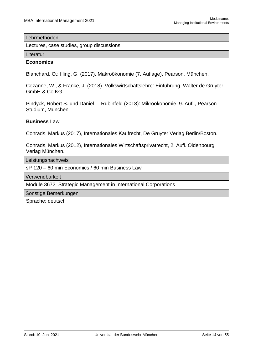#### Lehrmethoden

Lectures, case studies, group discussions

#### Literatur

#### **Economics**

Blanchard, O.; Illing, G. (2017). Makroökonomie (7. Auflage). Pearson, München.

Cezanne, W., & Franke, J. (2018). Volkswirtschaftslehre: Einführung. Walter de Gruyter GmbH & Co KG

Pindyck, Robert S. und Daniel L. Rubinfeld (2018): Mikroökonomie, 9. Aufl., Pearson Studium, München

#### **Business** Law

Conrads, Markus (2017), Internationales Kaufrecht, De Gruyter Verlag Berlin/Boston.

Conrads, Markus (2012), Internationales Wirtschaftsprivatrecht, 2. Aufl. Oldenbourg Verlag München.

Leistungsnachweis

sP 120 – 60 min Economics / 60 min Business Law

Verwendbarkeit

Module 3672 Strategic Management in International Corporations

Sonstige Bemerkungen

Sprache: deutsch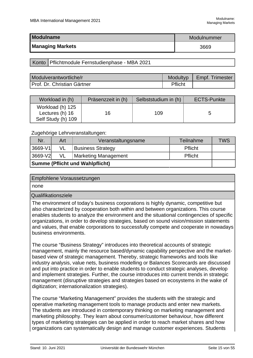<span id="page-15-0"></span>

| <b>Modulname</b>        | Modulnummer |  |
|-------------------------|-------------|--|
| <b>Managing Markets</b> | 3669        |  |

Konto | Pflichtmodule Fernstudienphase - MBA 2021

| Modulverantwortliche/r      | <b>Modultyp</b> | <b>Empf. Trimester</b> |
|-----------------------------|-----------------|------------------------|
| Prof. Dr. Christian Gärtner | Pflicht         |                        |

| Workload in (h)                                           | Präsenzzeit in (h) | Selbststudium in (h) | <b>ECTS-Punkte</b> |
|-----------------------------------------------------------|--------------------|----------------------|--------------------|
| Workload (h) 125<br>Lectures (h) 16<br>Self Study (h) 109 | 16                 | 109                  |                    |

Zugehörige Lehrveranstaltungen:

| Nr.                                    | Art | Veranstaltungsname       | Teilnahme | <b>TWS</b> |
|----------------------------------------|-----|--------------------------|-----------|------------|
| 3669-V1                                | VL  | <b>Business Strategy</b> | Pflicht   |            |
| 3669-V2                                | VL  | Marketing Management     | Pflicht   |            |
| <b>Summe (Pflicht und Wahlpflicht)</b> |     |                          |           |            |

| <b>Empfohlene Voraussetzungen</b> |
|-----------------------------------|
| I none                            |
| .<br>$\sim$                       |

Qualifikationsziele

The environment of today's business corporations is highly dynamic, competitive but also characterized by cooperation both within and between organizations. This course enables students to analyze the environment and the situational contingencies of specific organizations, in order to develop strategies, based on sound vision/mission statements and values, that enable corporations to successfully compete and cooperate in nowadays business environments.

The course "Business Strategy" introduces into theoretical accounts of strategic management, mainly the resource based/dynamic capability perspective and the marketbased view of strategic management. Thereby, strategic frameworks and tools like industry analysis, value nets, business modelling or Balances Scorecards are discussed and put into practice in order to enable students to conduct strategic analyses, develop and implement strategies. Further, the course introduces into current trends in strategic management (disruptive strategies and strategies based on ecosystems in the wake of digitization; internationalization strategies).

The course "Marketing Management" provides the students with the strategic and operative marketing management tools to manage products and enter new markets. The students are introduced in contemporary thinking on marketing management and marketing philosophy. They learn about consumer/customer behaviour, how different types of marketing strategies can be applied in order to reach market shares and how organizations can systematically design and manage customer experiences. Students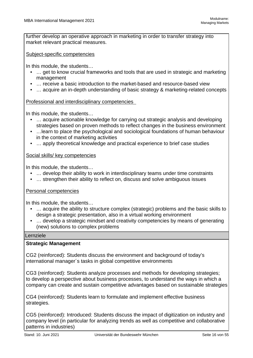further develop an operative approach in marketing in order to transfer strategy into market relevant practical measures.

Subject-specific competencies

In this module, the students…

- … get to know crucial frameworks and tools that are used in strategic and marketing management
- … receive a basic introduction to the market-based and resource-based view
- … acquire an in-depth understanding of basic strategy & marketing-related concepts

Professional and interdisciplinary competencies

In this module, the students…

- … acquire actionable knowledge for carrying out strategic analysis and developing strategies based on proven methods to reflect changes in the business environment
- …learn to place the psychological and sociological foundations of human behaviour in the context of marketing activities
- … apply theoretical knowledge and practical experience to brief case studies

#### Social skills/ key competencies

In this module, the students…

- … develop their ability to work in interdisciplinary teams under time constraints
- … strengthen their ability to reflect on, discuss and solve ambiguous issues

#### Personal competencies

In this module, the students…

- … acquire the ability to structure complex (strategic) problems and the basic skills to design a strategic presentation, also in a virtual working environment
- … develop a strategic mindset and creativity competencies by means of generating (new) solutions to complex problems

#### Lernziele

#### **Strategic Management**

CG2 (reinforced): Students discuss the environment and background of today's international manager´s tasks in global competitive environments

CG3 (reinforced): Students analyze processes and methods for developing strategies; to develop a perspective about business processes, to understand the ways in which a company can create and sustain competitive advantages based on sustainable strategies

CG4 (reinforced): Students learn to formulate and implement effective business strategies.

CG5 (reinforced): Introduced: Students discuss the impact of digitization on industry and company level (in particular for analyzing trends as well as competitive and collaborative patterns in industries)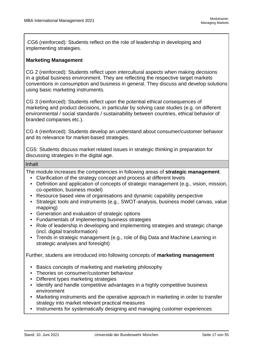CG6 (reinforced): Students reflect on the role of leadership in developing and implementing strategies.

#### **Marketing Management**

CG 2 (reinforced): Students reflect upon intercultural aspects when making decisions in a global business environment. They are reflecting the respective target markets conventions in consumption and business in general. They discuss and develop solutions using basic marketing instruments.

CG 3 (reinforced): Students reflect upon the potential ethical consequences of marketing and product decisions, in particular by solving case studies (e.g. on different environmental / social standards / sustainability between countries, ethical behavior of branded companies etc.).

CG 4 (reinforced): Students develop an understand about consumer/customer behavior and its relevance for market-based strategies.

CG5: Students discuss market related issues in strategic thinking in preparation for discussing strategies in the digital age.

Inhalt

The module increases the competencies in following areas of **strategic management**.

- Clarification of the strategy concept and process at different levels
- Definition and application of concepts of strategic management (e.g., vision, mission, co-opetition, business model)
- Resource based view of organisations and dynamic capability perspective
- Strategic tools and instruments (e.g., SWOT-analysis, business model canvas, value mapping)
- Generation and evaluation of strategic options
- Fundamentals of implementing business strategies
- Role of leadership in developing and implementing strategies and strategic change (incl. digital transformation)
- Trends in strategic management (e.g., role of Big Data and Machine Learning in strategic analyses and foresight)

Further, studens are introduced into following concepts of **marketing management**

- Basics concepts of marketing and marketing philosophy
- Theories on consumer/customer behaviour
- Different types marketing strategies
- Identify and handle competitive advantages in a highly competitive business environment
- Marketing instruments and the operative approach in marketing in order to transfer strategy into market relevant practical measures
- Instruments for systematically designing and managing customer experiences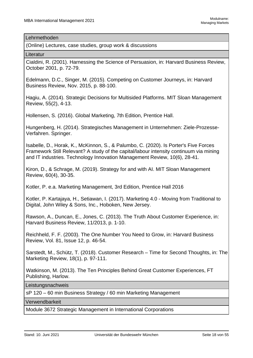#### Lehrmethoden

(Online) Lectures, case studies, group work & discussions

Literatur

Cialdini, R. (2001). Harnessing the Science of Persuasion, in: Harvard Business Review, October 2001, p. 72-79.

Edelmann, D.C., Singer, M. (2015). Competing on Customer Journeys, in: Harvard Business Review, Nov. 2015, p. 88-100.

Hagiu, A. (2014). Strategic Decisions for Multisided Platforms. MIT Sloan Management Review, 55(2), 4-13.

Hollensen, S. (2016). Global Marketing, 7th Edition, Prentice Hall.

Hungenberg, H. (2014). Strategisches Management in Unternehmen: Ziele-Prozesse-Verfahren. Springer.

Isabelle, D., Horak, K., McKinnon, S., & Palumbo, C. (2020). Is Porter's Five Forces Framework Still Relevant? A study of the capital/labour intensity continuum via mining and IT industries. Technology Innovation Management Review, 10(6), 28-41.

Kiron, D., & Schrage, M. (2019). Strategy for and with AI. MIT Sloan Management Review, 60(4), 30-35.

Kotler, P. e.a. Marketing Management, 3rd Edition, Prentice Hall 2016

Kotler, P. Kartajaya, H., Setiawan, I. (2017). Marketing 4.0 - Moving from Traditional to Digital, John Wiley & Sons, Inc., Hoboken, New Jersey.

Rawson, A., Duncan, E., Jones, C. (2013). The Truth About Customer Experience, in: Harvard Business Review, 11/2013, p. 1-10.

Reichheld, F. F. (2003). The One Number You Need to Grow, in: Harvard Business Review, Vol. 81, Issue 12, p. 46-54.

Sarstedt, M., Schütz, T. (2018). Customer Research – Time for Second Thoughts, in: The Marketing Review, 18(1), p. 97-111.

Watkinson, M. (2013). The Ten Principles Behind Great Customer Experiences, FT Publishing, Harlow.

**Leistungsnachweis** 

sP 120 – 60 min Business Strategy / 60 min Marketing Management

Verwendbarkeit

Module 3672 Strategic Management in International Corporations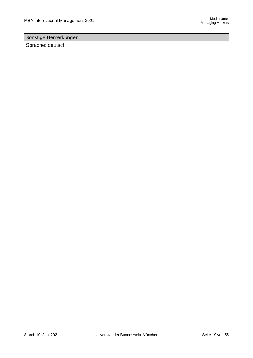### Sonstige Bemerkungen

Sprache: deutsch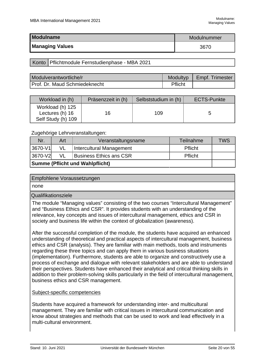<span id="page-20-0"></span>

| <b>Modulname</b>       | Modulnummer |
|------------------------|-------------|
| <b>Managing Values</b> | 3670        |

Konto | Pflichtmodule Fernstudienphase - MBA 2021

| Modulverantwortliche/r        | <b>Modultyp</b> | Empf. Trimester |
|-------------------------------|-----------------|-----------------|
| Prof. Dr. Maud Schmiedeknecht | Pflicht         |                 |

| Workload in (h)                                           | Präsenzzeit in (h) | Selbststudium in (h) | <b>ECTS-Punkte</b> |
|-----------------------------------------------------------|--------------------|----------------------|--------------------|
| Workload (h) 125<br>Lectures (h) 16<br>Self Study (h) 109 | 16                 | 109                  |                    |

Zugehörige Lehrveranstaltungen:

| Nr.                                    | Art | Veranstaltungsname             | <b>Teilnahme</b> | <b>TWS</b> |
|----------------------------------------|-----|--------------------------------|------------------|------------|
| '3670-V1                               | VL  | Intercultural Management       | Pflicht          |            |
| 3670-V2                                | VL  | <b>Business Ethics ans CSR</b> | Pflicht          |            |
| <b>Summe (Pflicht und Wahlpflicht)</b> |     |                                |                  |            |

none

Qualifikationsziele

The module "Managing values" consisting of the two courses "Intercultural Management" and "Business Ethics and CSR". It provides students with an understanding of the relevance, key concepts and issues of intercultural management, ethics and CSR in society and business life within the context of globalization (awareness).

After the successful completion of the module, the students have acquired an enhanced understanding of theoretical and practical aspects of intercultural management, business ethics and CSR (analysis). They are familiar with main methods, tools and instruments regarding these three topics and can apply them in various business situations (implementation). Furthermore, students are able to organize and constructively use a process of exchange and dialogue with relevant stakeholders and are able to understand their perspectives. Students have enhanced their analytical and critical thinking skills in addition to their problem-solving skills particularly in the field of intercultural management, business ethics and CSR management.

#### Subject-specific competencies

Students have acquired a framework for understanding inter- and multicultural management. They are familiar with critical issues in intercultural communication and know about strategies and methods that can be used to work and lead effectively in a multi-cultural environment.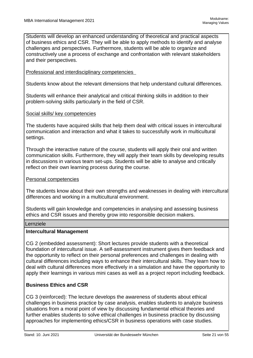Students will develop an enhanced understanding of theoretical and practical aspects of business ethics and CSR. They will be able to apply methods to identify and analyse challenges and perspectives. Furthermore, students will be able to organize and constructively use a process of exchange and confrontation with relevant stakeholders and their perspectives.

#### Professional and interdisciplinary competencies

Students know about the relevant dimensions that help understand cultural differences.

Students will enhance their analytical and critical thinking skills in addition to their problem-solving skills particularly in the field of CSR.

#### Social skills/ key competencies

The students have acquired skills that help them deal with critical issues in intercultural communication and interaction and what it takes to successfully work in multicultural settings.

Through the interactive nature of the course, students will apply their oral and written communication skills. Furthermore, they will apply their team skills by developing results in discussions in various team set-ups. Students will be able to analyse and critically reflect on their own learning process during the course.

#### Personal competencies

The students know about their own strengths and weaknesses in dealing with intercultural differences and working in a multicultural environment.

Students will gain knowledge and competencies in analysing and assessing business ethics and CSR issues and thereby grow into responsible decision makers.

#### Lernziele

#### **Intercultural Management**

CG 2 (embedded assessment): Short lectures provide students with a theoretical foundation of intercultural issue. A self-assessment instrument gives them feedback and the opportunity to reflect on their personal preferences and challenges in dealing with cultural differences including ways to enhance their intercultural skills. They learn how to deal with cultural differences more effectively in a simulation and have the opportunity to apply their learnings in various mini cases as well as a project report including feedback.

#### **Business Ethics and CSR**

CG 3 (reinforced): The lecture develops the awareness of students about ethical challenges in business practice by case analysis, enables students to analyze business situations from a moral point of view by discussing fundamental ethical theories and further enables students to solve ethical challenges in business practice by discussing approaches for implementing ethics/CSR in business operations with case studies.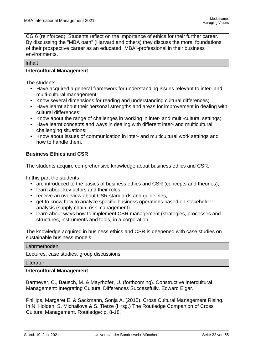CG 6 (reinforced): Students reflect on the importance of ethics for their further career. By discussing the "MBA oath" (Harvard and others) they discuss the moral foundations of their prospective career as an educated "MBA"-professional in their business environments.

#### Inhalt

#### **Intercultural Management**

The students

- Have acquired a general framework for understanding issues relevant to inter- and multi-cultural management;
- Know several dimensions for reading and understanding cultural differences;
- Have learnt about their personal strengths and areas for improvement in dealing with cultural differences;
- Know about the range of challenges in working in inter- and multi-cultural settings;
- Have learnt concepts and ways in dealing with different inter- and multicultural challenging situations;
- Know about issues of communication in inter- and multicultural work settings and how to handle them.

#### **Business Ethics and CSR**

The students acquire comprehensive knowledge about business ethics and CSR.

In this part the students

- are introduced to the basics of business ethics and CSR (concepts and theories),
- learn about key actors and their roles,
- receive an overview about CSR standards and guidelines,
- get to know how to analyze specific business operations based on stakeholder analysis (supply chain, risk management)
- learn about ways how to implement CSR management (strategies, processes and structures, instruments and tools) in a corporation.

The knowledge acquired in business ethics and CSR is deepened with case studies on sustainable business models.

#### Lehrmethoden

Lectures, case studies, group discussions

**Literatur** 

#### **Intercultural Management**

Barmeyer, C., Bausch, M. & Mayrhofer, U. (forthcoming). Constructive Intercultural Management: Integrating Cultural Differences Successfully. Edward Elgar.

Phillips, Margaret E. & Sackmann, Sonja A. (2015). Cross Cultural Management Rising. In N. Holden, S. Michailova & S. Tietze (Hrsg.) The Routledge Companion of Cross Cultural Management. Routledge: p. 8-18.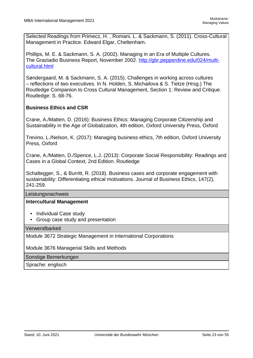Selected Readings from Primecz, H. , Romani, L. & Sackmann, S. (2011). Cross-Cultural Management in Practice. Edward Elgar, Cheltenham.

Phillips, M. E. & Sackmann, S. A. (2002). Managing in an Era of Multiple Cultures. The Graziadio Business Report, November 2002. http://gbr.pepperdine.edu/024/multicultural.html

Søndergaard, M. & Sackmann, S. A. (2015). Challenges in working across cultures – reflections of two executives. In N. Holden, S. Michailova & S. Tietze (Hrsg.) The Routledge Companion to Cross Cultural Management, Section 1: Review and Critique. Routledge: S. 68-76.

#### **Business Ethics and CSR**

Crane, A./Matten, D. (2016): Business Ethics: Managing Corporate Citizenship and Sustainability in the Age of Globalization, 4th edition, Oxford University Press, Oxford

Trevino, L./Nelson, K. (2017): Managing business ethics, 7th edition, Oxford University Press, Oxford

Crane, A./Matten, D./Spence, L.J. (2013): Corporate Social Responsibility: Readings and Cases in a Global Context, 2nd Edition. Routledge

Schaltegger, S., & Burritt, R. (2018). Business cases and corporate engagement with sustainability: Differentiating ethical motivations. Journal of Business Ethics, 147(2), 241-259.

Leistungsnachweis

#### **Intercultural Management**

- Individual Case study
- Group case study and presentation

Verwendbarkeit

Module 3672 Strategic Management in International Corporations

Module 3676 Managerial Skills and Methods

Sonstige Bemerkungen

Sprache: englisch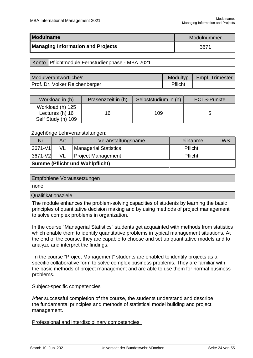<span id="page-24-0"></span>

| Modulname                                | Modulnummer |
|------------------------------------------|-------------|
| <b>Managing Information and Projects</b> | 3671        |

Konto | Pflichtmodule Fernstudienphase - MBA 2021

| Modulverantwortliche/r         | Modultyp | Empf. Trimester |
|--------------------------------|----------|-----------------|
| Prof. Dr. Volker Reichenberger | Pflicht  |                 |

| Workload in (h)                                           | Präsenzzeit in (h) | Selbststudium in (h) | <b>ECTS-Punkte</b> |
|-----------------------------------------------------------|--------------------|----------------------|--------------------|
| Workload (h) 125<br>Lectures (h) 16<br>Self Study (h) 109 | 16                 | 109                  |                    |

Zugehörige Lehrveranstaltungen:

| Nr.                                    | Art | Veranstaltungsname           | Teilnahme      | <b>TWS</b> |
|----------------------------------------|-----|------------------------------|----------------|------------|
| 3671-V1                                | VL  | <b>Managerial Statistics</b> | Pflicht        |            |
| 3671-V2                                | VL  | <b>Project Management</b>    | <b>Pflicht</b> |            |
| <b>Summe (Pflicht und Wahlpflicht)</b> |     |                              |                |            |

| Empfohlene Voraussetzungen |
|----------------------------|
| none                       |
| Qualifikationsziele        |

The module enhances the problem-solving capacities of students by learning the basic principles of quantitative decision making and by using methods of project management to solve complex problems in organization.

In the course "Managerial Statistics" students get acquainted with methods from statistics which enable them to identify quantitative problems in typical management situations. At the end of the course, they are capable to choose and set up quantitative models and to analyze and interpret the findings.

 In the course "Project Management" students are enabled to identify projects as a specific collaborative form to solve complex business problems. They are familiar with the basic methods of project management and are able to use them for normal business problems.

Subject-specific competencies

After successful completion of the course, the students understand and describe the fundamental principles and methods of statistical model building and project management.

Professional and interdisciplinary competencies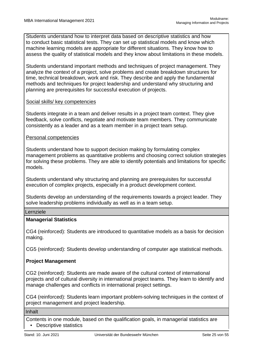Students understand how to interpret data based on descriptive statistics and how to conduct basic statistical tests. They can set up statistical models and know which machine learning models are appropriate for different situations. They know how to assess the quality of statistical models and they know about limitations in these models.

Students understand important methods and techniques of project management. They analyze the context of a project, solve problems and create breakdown structures for time, technical breakdown, work and risk. They describe and apply the fundamental methods and techniques for project leadership and understand why structuring and planning are prerequisites for successful execution of projects.

#### Social skills/ key competencies

Students integrate in a team and deliver results in a project team context. They give feedback, solve conflicts, negotiate and motivate team members. They communicate consistently as a leader and as a team member in a project team setup.

#### Personal competencies

Students understand how to support decision making by formulating complex management problems as quantitative problems and choosing correct solution strategies for solving these problems. They are able to identify potentials and limitations for specific models.

Students understand why structuring and planning are prerequisites for successful execution of complex projects, especially in a product development context.

Students develop an understanding of the requirements towards a project leader. They solve leadership problems individually as well as in a team setup.

#### Lernziele

#### **Managerial Statistics**

CG4 (reinforced): Students are introduced to quantitative models as a basis for decision making.

CG5 (reinforced): Students develop understanding of computer age statistical methods.

#### **Project Management**

CG2 (reinforced): Students are made aware of the cultural context of international projects and of cultural diversity in international project teams. They learn to identify and manage challenges and conflicts in international project settings.

CG4 (reinforced): Students learn important problem-solving techniques in the context of project management and project leadership.

#### Inhalt

Contents in one module, based on the qualification goals, in managerial statistics are • Descriptive statistics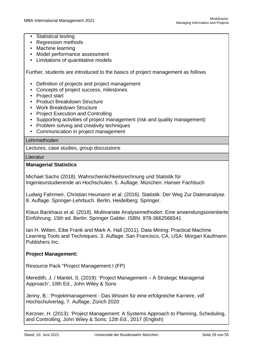- Statistical testing
- Regression methods
- Machine learning
- Model performance assessment
- Limitations of quantitative models

Further, students are introduced to the basics of project management as follows

- Definition of projects and project management
- Concepts of project success, milestones
- Project start
- Product Breakdown Structure
- Work Breakdown Structure
- Project Execution and Controlling
- Supporting activities of project management (risk and quality management)
- Problem solving and creativity techniques
- Communication in project management

#### Lehrmethoden

Lectures, case studies, group discussions

Literatur

#### **Managerial Statistics**

Michael Sachs (2018). Wahrscheinlichkeitsrechnung und Statistik für Ingenieurstudierende an Hochschulen. 5. Auflage. München: Hanser Fachbuch

Ludwig Fahrmeir, Christian Heumann et al. (2016). Statistik: Der Weg Zur Datenanalyse. 8. Auflage. Springer-Lehrbuch. Berlin, Heidelberg: Springer.

Klaus Backhaus et al. (2018). Multivariate Analysemethoden: Eine anwendungsorientierte Einführung. 15th ed. Berlin: Springer Gabler. ISBN: 978-3662566541

Ian H. Witten, Eibe Frank and Mark A. Hall (2011). Data Mining: Practical Machine Learning Tools and Techniques. 3. Auflage. San Francisco, CA, USA: Morgan Kaufmann Publishers Inc.

#### **Project Management:**

Resource Pack "Project Management I (FP)

Meredith, J. / Mantel, S. (2019): 'Project Management – A Strategic Managerial Approach', 10th Ed., John Wiley & Sons

Jenny, B.: 'Projektmanagement - Das Wissen für eine erfolgreiche Karriere, vdf Hochschulverlag, 7. Auflage, Zürich 2020

Kerzner, H. (2013): 'Project Management: A Systems Approach to Planning, Scheduling, and Controlling, John Wiley & Sons; 12th Ed., 2017 (English)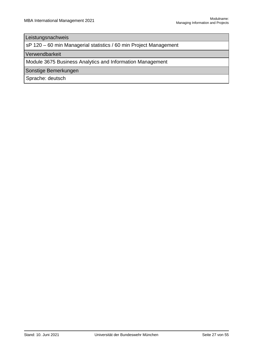#### Leistungsnachweis

sP 120 – 60 min Managerial statistics / 60 min Project Management

Verwendbarkeit

Module 3675 Business Analytics and Information Management

Sonstige Bemerkungen

Sprache: deutsch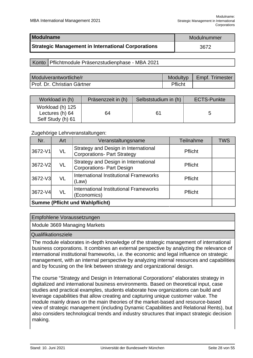<span id="page-28-0"></span>

| <b>Modulname</b>                                   | Modulnummer |
|----------------------------------------------------|-------------|
| Strategic Management in International Corporations | 3672        |

#### Konto | Pflichtmodule Präsenzstudienphase - MBA 2021

| Modulverantwortliche/r      | <b>Modultyp</b> | Empf. Trimester |
|-----------------------------|-----------------|-----------------|
| Prof. Dr. Christian Gärtner | Pflicht         |                 |

| Workload in (h)                                          | Präsenzzeit in (h) | Selbststudium in (h) | <b>ECTS-Punkte</b> |
|----------------------------------------------------------|--------------------|----------------------|--------------------|
| Workload (h) 125<br>Lectures (h) 64<br>Self Study (h) 61 | 64                 | 61                   |                    |

#### Zugehörige Lehrveranstaltungen:

| Nr.                                    | Art | Veranstaltungsname                                                         | <b>Teilnahme</b> | <b>TWS</b> |
|----------------------------------------|-----|----------------------------------------------------------------------------|------------------|------------|
| 3672-V1                                | VL  | Strategy and Design in International<br><b>Corporations- Part Strategy</b> | Pflicht          |            |
| 3672-V2                                | VL  | Strategy and Design in International<br><b>Corporations- Part Design</b>   | <b>Pflicht</b>   |            |
| 3672-V3                                | VL  | International Institutional Frameworks<br>(Law)                            | Pflicht          |            |
| 3672-V4                                | VL  | International Institutional Frameworks<br>(Economics)                      | Pflicht          |            |
| <b>Summe (Pflicht und Wahlpflicht)</b> |     |                                                                            |                  |            |

#### Empfohlene Voraussetzungen

Module 3669 Managing Markets

#### Qualifikationsziele

The module elaborates in-depth knowledge of the strategic management of international business corporations. It combines an external perspective by analyzing the relevance of international institutional frameworks, i.e. the economic and legal influence on strategic management, with an internal perspective by analyzing internal resources and capabilities and by focusing on the link between strategy and organizational design.

The course "Strategy and Design in International Corporations" elaborates strategy in digitalized and international business environments. Based on theoretical input, case studies and practical examples, students elaborate how organizations can build and leverage capabilities that allow creating and capturing unique customer value. The module mainly draws on the main theories of the market-based and resource-based view of strategic management (including Dynamic Capabilities and Relational Rents), but also considers technological trends and industry structures that impact strategic decision making.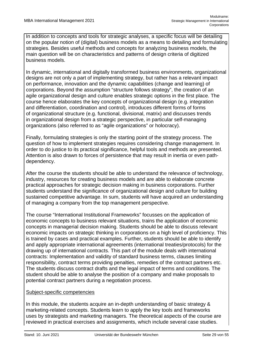In addition to concepts and tools for strategic analyses, a specific focus will be detailing on the popular notion of (digital) business models as a means to detailing and formulating strategies. Besides useful methods and concepts for analyzing business models, the main question will be on characteristics and patterns of design criteria of digitized business models.

In dynamic, international and digitally transformed business environments, organizational designs are not only a part of implementing strategy, but rather has a relevant impact on performance, innovation and the dynamic capabilities (change and learning) of corporations. Beyond the assumption "structure follows strategy", the creation of an agile organizational design and culture enables strategic options in the first place. The course hence elaborates the key concepts of organizational design (e.g. integration and differentiation, coordination and control), introduces different forms of forms of organizational structure (e.g. functional, divisional, matrix) and discusses trends in organizational design from a strategic perspective, in particular self-managing organizations (also referred to as "agile organizations" or holocracy).

Finally, formulating strategies is only the starting point of the strategy process. The question of how to implement strategies requires considering change management. In order to do justice to its practical significance, helpful tools and methods are presented. Attention is also drawn to forces of persistence that may result in inertia or even pathdependency.

After the course the students should be able to understand the relevance of technology, industry, resources for creating business models and are able to elaborate concrete practical approaches for strategic decision making in business corporations. Further students understand the significance of organizational design and culture for building sustained competitive advantage. In sum, students will have acquired an understanding of managing a company from the top management perspective.

The course "International Institutional Frameworks" focusses on the application of economic concepts to business relevant situations, trains the application of economic concepts in managerial decision making. Students should be able to discuss relevant economic impacts on strategic thinking in corporations on a high level of proficiency. This is trained by cases and practical examples. Further, students should be able to identify and apply appropriate international agreements (international treaties/protocols) for the drawing up of international contracts. This part of the module deals with international contracts: Implementation and validity of standard business terms, clauses limiting responsibility, contract terms providing penalties, remedies of the contract partners etc. The students discuss contract drafts and the legal impact of terms and conditions. The student should be able to analyse the position of a company and make proposals to potential contract partners during a negotiation process.

#### Subject-specific competencies

In this module, the students acquire an in-depth understanding of basic strategy & marketing-related concepts. Students learn to apply the key tools and frameworks uses by strategists and marketing managers. The theoretical aspects of the course are reviewed in practical exercises and assignments, which include several case studies.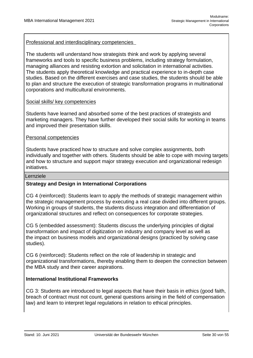Professional and interdisciplinary competencies

The students will understand how strategists think and work by applying several frameworks and tools to specific business problems, including strategy formulation, managing alliances and resisting extortion and solicitation in international activities. The students apply theoretical knowledge and practical experience to in-depth case studies. Based on the different exercises and case studies, the students should be able to plan and structure the execution of strategic transformation programs in multinational corporations and multicultural environments.

#### Social skills/ key competencies

Students have learned and absorbed some of the best practices of strategists and marketing managers. They have further developed their social skills for working in teams and improved their presentation skills.

#### Personal competencies

Students have practiced how to structure and solve complex assignments, both individually and together with others. Students should be able to cope with moving targets and how to structure and support major strategy execution and organizational redesign initiatives.

#### Lernziele

#### **Strategy and Design in International Corporations**

CG 4 (reinforced): Students learn to apply the methods of strategic management within the strategic management process by executing a real case divided into different groups. Working in groups of students, the students discuss integration and differentiation of organizational structures and reflect on consequences for corporate strategies.

CG 5 (embedded assessment): Students discuss the underlying principles of digital transformation and impact of digitization on industry and company level as well as the impact on business models and organizational designs (practiced by solving case studies).

CG 6 (reinforced): Students reflect on the role of leadership in strategic and organizational transformations, thereby enabling them to deepen the connection between the MBA study and their career aspirations.

#### **International Institutional Frameworks**

CG 3: Students are introduced to legal aspects that have their basis in ethics (good faith, breach of contract must not count, general questions arising in the field of compensation law) and learn to interpret legal regulations in relation to ethical principles.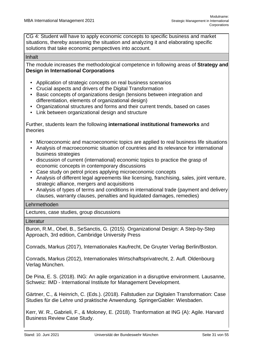CG 4: Student will have to apply economic concepts to specific business and market situations, thereby assessing the situation and analyzing it and elaborating specific solutions that take economic perspectives into account.

#### Inhalt

The module increases the methodological competence in following areas of **Strategy and Design in International Corporations**

- Application of strategic concepts on real business scenarios
- Crucial aspects and drivers of the Digital Transformation
- Basic concepts of organizations design (tensions between integration and differentiation, elements of organizational design)
- Organizational structures and forms and their current trends, based on cases
- Link between organizational design and structure

Further, students learn the following **international institutional frameworks** and theories

- Microeconomic and macroeconomic topics are applied to real business life situations
- Analysis of macroeconomic situation of countries and its relevance for international business strategies
- discussion of current (international) economic topics to practice the grasp of economic concepts in contemporary discussions
- Case study on petrol prices applying microeconomic concepts
- Analysis of different legal agreements like licensing, franchising, sales, joint venture, strategic alliance, mergers and acquisitions
- Analysis of types of terms and conditions in international trade (payment and delivery clauses, warranty clauses, penalties and liquidated damages, remedies)

#### Lehrmethoden

Lectures, case studies, group discussions

#### **Literatur**

Buron, R.M., Obel, B., SeSanctis, G. (2015). Organizational Design: A Step-by-Step Approach, 3rd edition, Cambridge University Press

Conrads, Markus (2017), Internationales Kaufrecht, De Gruyter Verlag Berlin/Boston.

Conrads, Markus (2012), Internationales Wirtschaftsprivatrecht, 2. Aufl. Oldenbourg Verlag München.

De Pina, E. S. (2018). ING: An agile organization in a disruptive environment. Lausanne, Schweiz: IMD - International Institute for Management Development.

Gärtner, C., & Heinrich, C. (Eds.). (2018). Fallstudien zur Digitalen Transformation: Case Studies für die Lehre und praktische Anwendung. SpringerGabler: Wiesbaden.

Kerr, W. R., Gabrieli, F., & Moloney, E. (2018). Tranformation at ING (A): Agile. Harvard Business Review Case Study.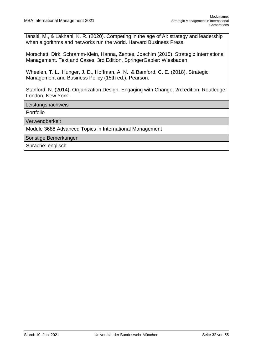Iansiti, M., & Lakhani, K. R. (2020). Competing in the age of AI: strategy and leadership when algorithms and networks run the world. Harvard Business Press.

Morschett, Dirk, Schramm-Klein, Hanna, Zentes, Joachim (2015). Strategic International Management. Text and Cases. 3rd Edition, SpringerGabler: Wiesbaden.

Wheelen, T. L., Hunger, J. D., Hoffman, A. N., & Bamford, C. E. (2018). Strategic Management and Business Policy (15th ed.). Pearson.

Stanford, N. (2014). Organization Design. Engaging with Change, 2rd edition, Routledge: London, New York.

Leistungsnachweis

Portfolio

Verwendbarkeit

Module 3688 Advanced Topics in International Management

Sonstige Bemerkungen

Sprache: englisch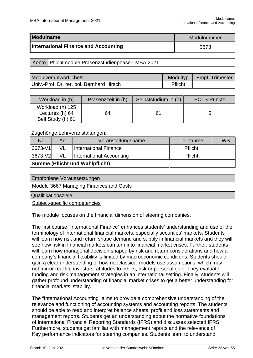<span id="page-33-0"></span>

| <b>Modulname</b>                            | Modulnummer |
|---------------------------------------------|-------------|
| <b>International Finance and Accounting</b> | 3673        |

#### Konto | Pflichtmodule Präsenzstudienphase - MBA 2021

| Modulverantwortliche/r                    |         | Modultyp   Empf. Trimester |
|-------------------------------------------|---------|----------------------------|
| Univ.-Prof. Dr. rer. pol. Bernhard Hirsch | Pflicht |                            |

| Workload in (h)                                          | Präsenzzeit in (h) | Selbststudium in (h) | <b>ECTS-Punkte</b> |
|----------------------------------------------------------|--------------------|----------------------|--------------------|
| Workload (h) 125<br>Lectures (h) 64<br>Self Study (h) 61 | 64                 | 61                   |                    |

#### Zugehörige Lehrveranstaltungen:

| Nr.                                    | Art | Veranstaltungsname           | Teilnahme | <b>TWS</b> |
|----------------------------------------|-----|------------------------------|-----------|------------|
| 3673-V1                                | VL  | <b>International Finance</b> | Pflicht   |            |
| 3673-V2                                | VL  | International Accounting     | Pflicht   |            |
| <b>Summe (Pflicht und Wahlpflicht)</b> |     |                              |           |            |

Module 3667 Managing Finances and Costs

Qualifikationsziele

Subject-specific competencies

The module focuses on the financial dimension of steering companies.

The first course "International Finance" enhances students' understanding and use of the terminology of international financial markets, especially securities' markets. Students will learn how risk and return shape demand and supply in financial markets and they will see how risk in financial markets can turn into financial market crises. Further, students will learn how managerial decision shaped by risk and return considerations and how a company's financial flexibility is limited by macroeconomic conditions. Students should gain a clear understanding of how neoclassical models use assumptions, which may not mirror real life investors' attitudes to ethics, risk or personal gain. They evaluate funding and risk management strategies in an international setting. Finally, students will gather profound understanding of financial market crises to get a better understanding for financial markets' stability.

The "International Accounting" aims to provide a comprehensive understanding of the relevance and functioning of accounting systems and accounting reports. The students should be able to read and interpret balance sheets, profit and loss statements and management reports. Students get an understanding about the normative foundations of International Financial Reporting Standards (IFRS) and discusses selected IFRS. Furthermore, students get familiar with management reports and the relevance of Key performance indicators for steering companies. Students learn to understand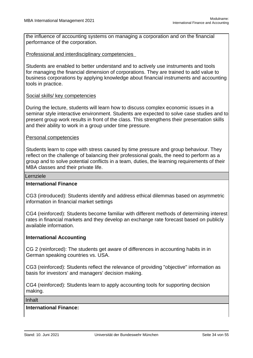the influence of accounting systems on managing a corporation and on the financial performance of the corporation.

#### Professional and interdisciplinary competencies

Students are enabled to better understand and to actively use instruments and tools for managing the financial dimension of corporations. They are trained to add value to business corporations by applying knowledge about financial instruments and accounting tools in practice.

#### Social skills/ key competencies

During the lecture, students will learn how to discuss complex economic issues in a seminar style interactive environment. Students are expected to solve case studies and to present group work results in front of the class. This strengthens their presentation skills and their ability to work in a group under time pressure.

#### Personal competencies

Students learn to cope with stress caused by time pressure and group behaviour. They reflect on the challenge of balancing their professional goals, the need to perform as a group and to solve potential conflicts in a team, duties, the learning requirements of their MBA classes and their private life.

#### Lernziele

#### **International Finance**

CG3 (introduced): Students identify and address ethical dilemmas based on asymmetric information in financial market settings

CG4 (reinforced): Students become familiar with different methods of determining interest rates in financial markets and they develop an exchange rate forecast based on publicly available information.

#### **International Accounting**

CG 2 (reinforced): The students get aware of differences in accounting habits in in German speaking countries vs. USA.

CG3 (reinforced): Students reflect the relevance of providing "objective" information as basis for investors' and managers' decision making.

CG4 (reinforced): Students learn to apply accounting tools for supporting decision making.

Inhalt

#### **International Finance:**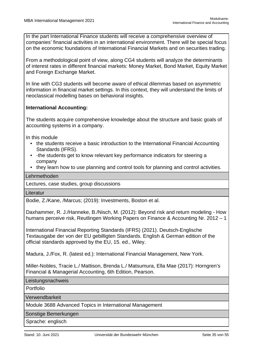In the part International Finance students will receive a comprehensive overview of companies' financial activities in an international environment. There will be special focus on the economic foundations of International Financial Markets and on securities trading.

From a methodological point of view, along CG4 students will analyze the determinants of interest rates in different financial markets: Money Market, Bond Market, Equity Market and Foreign Exchange Market.

In line with CG3 students will become aware of ethical dilemmas based on asymmetric information in financial market settings. In this context, they will understand the limits of neoclassical modelling bases on behavioral insights.

#### **International Accounting:**

The students acquire comprehensive knowledge about the structure and basic goals of accounting systems in a company.

In this module

- the students receive a basic introduction to the International Financial Accounting Standards (IFRS).
- -the students get to know relevant key performance indicators for steering a company
- they learn how to use planning and control tools for planning and control activities.

#### Lehrmethoden

Lectures, case studies, group discussions

**Literatur** 

Bodie, Z./Kane, /Marcus; (2019): Investments, Boston et al.

Daxhammer, R. J./Hanneke, B./Nisch, M. (2012): Beyond risk and return modeling - How humans perceive risk, Reutlingen Working Papers on Finance & Accounting Nr. 2012 – 1

International Financial Reporting Standards (IFRS) (2021). Deutsch-Englische Textausgabe der von der EU gebilligten Standards. English & German edition of the official standards approved by the EU, 15. ed., Wiley.

Madura, J./Fox, R. (latest ed.): International Financial Management, New York.

Miller-Nobles, Tracie L./ Mattison, Brenda L./ Matsumura, Ella Mae (2017): Horngren's Financial & Managerial Accounting, 6th Edition, Pearson.

**Leistungsnachweis** 

Portfolio

Verwendbarkeit

Module 3688 Advanced Topics in International Management

Sonstige Bemerkungen

Sprache: englisch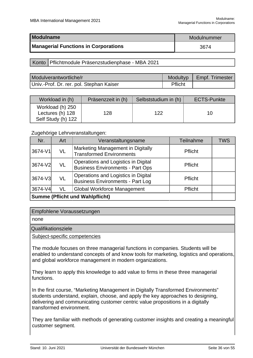<span id="page-36-0"></span>

| <b>Modulname</b>                            | Modulnummer |
|---------------------------------------------|-------------|
| <b>Managerial Functions in Corporations</b> | 3674        |

#### Konto | Pflichtmodule Präsenzstudienphase - MBA 2021

| Modulverantwortliche/r                   |         | Modultyp   Empf. Trimester |
|------------------------------------------|---------|----------------------------|
| Univ.-Prof. Dr. rer. pol. Stephan Kaiser | Pflicht |                            |

| Workload in (h)                                            | Präsenzzeit in (h) | Selbststudium in (h) | <b>ECTS-Punkte</b> |
|------------------------------------------------------------|--------------------|----------------------|--------------------|
| Workload (h) 250<br>Lectures (h) 128<br>Self Study (h) 122 | 128                | 122                  | 10                 |

#### Zugehörige Lehrveranstaltungen:

| Nr.                                    | Art | Veranstaltungsname                                                             | <b>Teilnahme</b> | <b>TWS</b> |
|----------------------------------------|-----|--------------------------------------------------------------------------------|------------------|------------|
| 3674-V1                                | VL  | Marketing Management in Digitally<br><b>Transformed Environments</b>           | Pflicht          |            |
| 3674-V2                                | VL  | Operations and Logistics in Digital<br><b>Business Environments - Part Ops</b> | Pflicht          |            |
| 3674-V3                                | VL  | Operations and Logistics in Digital<br><b>Business Environments - Part Log</b> | Pflicht          |            |
| 3674-V4                                | VL  | <b>Global Workforce Management</b>                                             | Pflicht          |            |
| <b>Summe (Pflicht und Wahlpflicht)</b> |     |                                                                                |                  |            |

#### Empfohlene Voraussetzungen

none

#### Qualifikationsziele

Subject-specific competencies

The module focuses on three managerial functions in companies. Students will be enabled to understand concepts of and know tools for marketing, logistics and operations, and global workforce management in modern organizations.

They learn to apply this knowledge to add value to firms in these three managerial functions.

In the first course, "Marketing Management in Digitally Transformed Environments" students understand, explain, choose, and apply the key approaches to designing, delivering and communicating customer centric value propositions in a digitally transformed environment.

They are familiar with methods of generating customer insights and creating a meaningful customer segment.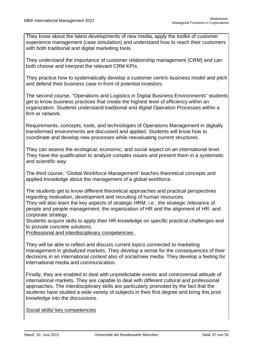They know about the latest developments of new media, apply the toolkit of customer experience management (case simulation) and understand how to reach their customers with both traditional and digital marketing tools.

They understand the importance of customer relationship management (CRM) and can both choose and interpret the relevant CRM KPIs.

They practice how to systematically develop a customer centric business model and pitch and defend their business case in front of potential investors.

The second course, "Operations and Logistics in Digital Business Environments" students get to know business practices that create the highest level of efficiency within an organization. Students understand traditional and digital Operation Processes within a firm or network.

Requirements, concepts, tools, and technologies of Operations Management in digitally transformed environments are discussed and applied. Students will know how to coordinate and develop new processes while reevaluating current structures.

They can assess the ecological, economic, and social aspect on an international level. They have the qualification to analyze complex issues and present them in a systematic and scientific way.

The third course, "Global Workforce Management" teaches theoretical concepts and applied knowledge about the management of a global workforce.

The students get to know different theoretical approaches and practical perspectives regarding motivation, development and recruiting of human resources.

They will also learn the key aspects of strategic HRM, i.e., the strategic relevance of people and people management, the organization of HR and the alignment of HR- and corporate strategy.

Students acquire skills to apply their HR-knowledge on specific practical challenges and to provide concrete solutions.

Professional and interdisciplinary competencies

They will be able to reflect and discuss current topics connected to marketing management in globalized markets. They develop a sense for the consequences of their decisions in an international context also of social/new media. They develop a feeling for international media and communication.

Finally, they are enabled to deal with unpredictable events and controversial attitude of international markets. They are capable to deal with different cultural and professional approaches. The interdisciplinary skills are particularly promoted by the fact that the students have studied a wide variety of subjects in their first degree and bring this prior knowledge into the discussions.

Social skills/ key competencies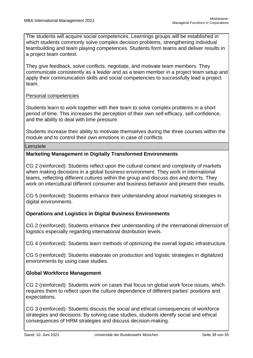The students will acquire social competences. Learnings groups will be established in which students commonly solve complex decision problems, strengthening individual teambuilding and team playing competences. Students form teams and deliver results in a project team context.

They give feedback, solve conflicts, negotiate, and motivate team members. They communicate consistently as a leader and as a team member in a project team setup and apply their communication skills and social competencies to successfully lead a project team.

#### Personal competencies

Students learn to work together with their team to solve complex problems in a short period of time. This increases the perception of their own self-efficacy, self-confidence, and the ability to deal with time pressure.

Students increase their ability to motivate themselves during the three courses within the module and to control their own emotions in case of conflicts.

#### Lernziele

#### **Marketing Management in Digitally Transformed Environments**

CG 2 (reinforced): Students reflect upon the cultural context and complexity of markets when making decisions in a global business environment. They work in international teams, reflecting different cultures within the group and discuss dos and don'ts. They work on intercultural different consumer and business behavior and present their results.

CG 5 (reinforced): Students enhance their understanding about marketing strategies in digital environments.

#### **Operations and Logistics in Digital Business Environments**

CG 2 (reinforced): Students enhance their understanding of the international dimension of logistics especially regarding international distribution levels.

CG 4 (reinforced): Students learn methods of optimizing the overall logistic infrastructure.

CG 5 (reinforced): Students elaborate on production and logistic strategies in digitalized environments by using case studies.

#### **Global Workforce Management**

CG 2 (reinforced): Students work on cases that focus on global work force issues, which requires them to reflect upon the culture dependence of different parties' positions and expectations.

CG 3 (reinforced): Students discuss the social and ethical consequences of workforce strategies and decisions. By solving case studies, students identify social and ethical consequences of HRM strategies and discuss decision-making.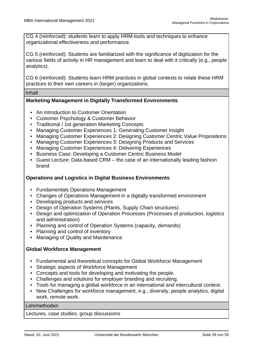CG 4 (reinforced): students learn to apply HRM-tools and techniques to enhance organizational effectiveness and performance.

CG 5 (reinforced): Students are familiarized with the significance of digitization for the various fields of activity in HR management and learn to deal with it critically (e.g., people analytics).

CG 6 (reinforced): Students learn HRM practices in global contexts to relate these HRM practices to their own careers in (larger) organizations.

Inhalt

#### **Marketing Management in Digitally Transformed Environments**

- An Introduction to Customer Orientation
- Customer Psychology & Customer Behavior
- Traditional / 1st generation Marketing Concepts
- Managing Customer Experiences 1: Generating Customer Insight
- Managing Customer Experiences 2: Designing Customer Centric Value Propositions
- Managing Customer Experiences 3: Designing Products and Services
- Managing Customer Experiences 4: Delivering Experiences
- Business Case: Developing a Customer Centric Business Model
- Guest Lecture: Data-based CRM the case of an internationally leading fashion brand

#### **Operations and Logistics in Digital Business Environments**

- Fundamentals Operations Management
- Changes of Operations Management in a digitally transformed environment
- Developing products and services
- Design of Operation Systems (Plants, Supply Chain structures)
- Design and optimization of Operation Processes (Processes of production, logistics and administration)
- Planning and control of Operation Systems (capacity, demands)
- Planning and control of inventory
- Managing of Quality and Maintenance

#### **Global Workforce Management**

- Fundamental and theoretical concepts for Global Workforce Management
- Strategic aspects of Workforce Management
- Concepts and tools for developing and motivating the people.
- Challenges and solutions for employer branding and recruiting.
- Tools for managing a global workforce in an international and intercultural context.
- New Challenges for workforce management, e.g., diversity, people analytics, digital work, remote work.

#### Lehrmethoden

Lectures, case studies, group discussions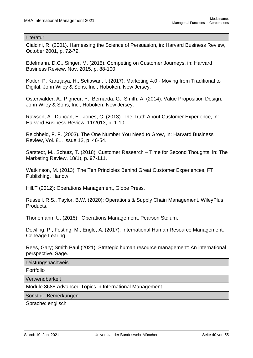#### Literatur

Cialdini, R. (2001). Harnessing the Science of Persuasion, in: Harvard Business Review, October 2001, p. 72-79.

Edelmann, D.C., Singer, M. (2015). Competing on Customer Journeys, in: Harvard Business Review, Nov. 2015, p. 88-100.

Kotler, P. Kartajaya, H., Setiawan, I. (2017). Marketing 4.0 - Moving from Traditional to Digital, John Wiley & Sons, Inc., Hoboken, New Jersey.

Osterwalder, A., Pigneur, Y., Bernarda, G., Smith, A. (2014). Value Proposition Design, John Wiley & Sons, Inc., Hoboken, New Jersey.

Rawson, A., Duncan, E., Jones, C. (2013). The Truth About Customer Experience, in: Harvard Business Review, 11/2013, p. 1-10.

Reichheld, F. F. (2003). The One Number You Need to Grow, in: Harvard Business Review, Vol. 81, Issue 12, p. 46-54.

Sarstedt, M., Schütz, T. (2018). Customer Research – Time for Second Thoughts, in: The Marketing Review, 18(1), p. 97-111.

Watkinson, M. (2013). The Ten Principles Behind Great Customer Experiences, FT Publishing, Harlow.

Hill.T (2012): Operations Management, Globe Press.

Russell, R.S., Taylor, B.W. (2020): Operations & Supply Chain Management, WileyPlus Products.

Thonemann, U. (2015): Operations Management, Pearson Stdium.

Dowling, P.; Festing, M.; Engle, A. (2017): International Human Resource Management. Ceneage Learing.

Rees, Gary; Smith Paul (2021): Strategic human resource management: An international perspective. Sage.

**Leistungsnachweis** 

Portfolio

Verwendbarkeit

Module 3688 Advanced Topics in International Management

Sonstige Bemerkungen

Sprache: englisch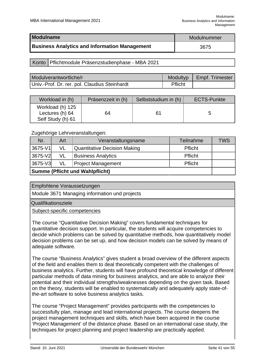<span id="page-41-0"></span>

| Modulname                                            | Modulnummer |
|------------------------------------------------------|-------------|
| <b>Business Analytics and Information Management</b> | 3675        |

#### Konto | Pflichtmodule Präsenzstudienphase - MBA 2021

| Modulverantwortliche/r                        | Modultyp | Empf. Trimester |
|-----------------------------------------------|----------|-----------------|
| Univ.-Prof. Dr. rer. pol. Claudius Steinhardt | Pflicht  |                 |

| Workload in (h)                                          | Präsenzzeit in (h) | Selbststudium in (h) | <b>ECTS-Punkte</b> |
|----------------------------------------------------------|--------------------|----------------------|--------------------|
| Workload (h) 125<br>Lectures (h) 64<br>Self Study (h) 61 | 64                 | 61                   |                    |

#### Zugehörige Lehrveranstaltungen:

| Nr.                                    | Art | Veranstaltungsname                  | Teilnahme      | <b>TWS</b> |
|----------------------------------------|-----|-------------------------------------|----------------|------------|
| 3675-V1                                | VL  | <b>Quantitative Decision Making</b> | <b>Pflicht</b> |            |
| 3675-V2                                | VL  | <b>Business Analytics</b>           | <b>Pflicht</b> |            |
| 3675-V3                                | VL  | <b>Project Management</b>           | Pflicht        |            |
| <b>Summe (Pflicht und Wahlpflicht)</b> |     |                                     |                |            |

Empfohlene Voraussetzungen

Module 3671 Managing information und projects

Qualifikationsziele

Subject-specific competencies

The course "Quantitative Decision Making" covers fundamental techniques for quantitative decision support. In particular, the students will acquire competencies to decide which problems can be solved by quantitative methods, how quantitatively model decision problems can be set up, and how decision models can be solved by means of adequate software.

The course "Business Analytics" gives student a broad overview of the different aspects of the field and enables them to deal theoretically competent with the challenges of business analytics. Further, students will have profound theoretical knowledge of different particular methods of data mining for business analytics, and are able to analyze their potential and their individual strengths/weaknesses depending on the given task. Based on the theory, students will be enabled to systematically and adequately apply state-ofthe-art software to solve business analytics tasks.

The course "Project Management" provides participants with the competencies to successfully plan, manage and lead international projects. The course deepens the project management techniques and skills, which have been acquired in the course 'Project Management' of the distance phase. Based on an international case study, the techniques for project planning and project leadership are practically applied.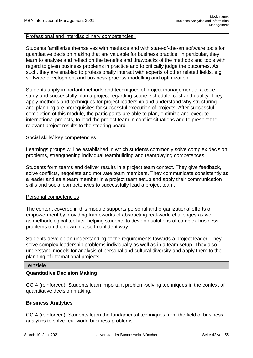#### Professional and interdisciplinary competencies

Students familiarize themselves with methods and with state-of-the-art software tools for quantitative decision making that are valuable for business practice. In particular, they learn to analyse and reflect on the benefits and drawbacks of the methods and tools with regard to given business problems in practice and to critically judge the outcomes. As such, they are enabled to professionally interact with experts of other related fields, e.g. software development and business process modelling and optimization.

Students apply important methods and techniques of project management to a case study and successfully plan a project regarding scope, schedule, cost and quality. They apply methods and techniques for project leadership and understand why structuring and planning are prerequisites for successful execution of projects. After successful completion of this module, the participants are able to plan, optimize and execute international projects, to lead the project team in conflict situations and to present the relevant project results to the steering board.

#### Social skills/ key competencies

Learnings groups will be established in which students commonly solve complex decision problems, strengthening individual teambuilding and teamplaying competences.

Students form teams and deliver results in a project team context. They give feedback, solve conflicts, negotiate and motivate team members. They communicate consistently as a leader and as a team member in a project team setup and apply their communication skills and social competencies to successfully lead a project team.

#### Personal competencies

The content covered in this module supports personal and organizational efforts of empowerment by providing frameworks of abstracting real-world challenges as well as methodological toolkits, helping students to develop solutions of complex business problems on their own in a self-confident way.

Students develop an understanding of the requirements towards a project leader. They solve complex leadership problems individually as well as in a team setup. They also understand models for analysis of personal and cultural diversity and apply them to the planning of international projects

#### Lernziele

#### **Quantitative Decision Making**

CG 4 (reinforced): Students learn important problem-solving techniques in the context of quantitative decision making.

#### **Business Analytics**

CG 4 (reinforced): Students learn the fundamental techniques from the field of business analytics to solve real-world business problems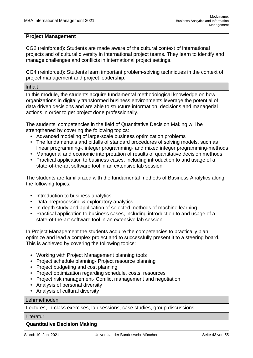#### **Project Management**

CG2 (reinforced): Students are made aware of the cultural context of international projects and of cultural diversity in international project teams. They learn to identify and manage challenges and conflicts in international project settings.

CG4 (reinforced): Students learn important problem-solving techniques in the context of project management and project leadership.

Inhalt

In this module, the students acquire fundamental methodological knowledge on how organizations in digitally transformed business environments leverage the potential of data driven decisions and are able to structure information, decisions and managerial actions in order to get project done professionally.

The students' competencies in the field of Quantitative Decision Making will be strengthened by covering the following topics:

- Advanced modeling of large-scale business optimization problems
- The fundamentals and pitfalls of standard procedures of solving models, such as linear programming-, integer programming- and mixed integer programming-methods
- Managerial and economic interpretation of results of quantitative decision methods
- Practical application to business cases, including introduction to and usage of a state-of-the-art software tool in an extensive lab session

The students are familiarized with the fundamental methods of Business Analytics along the following topics:

- Introduction to business analytics
- Data preprocessing & exploratory analytics
- In depth study and application of selected methods of machine learning
- Practical application to business cases, including introduction to and usage of a state-of-the-art software tool in an extensive lab session

In Project Management the students acquire the competencies to practically plan, optimize and lead a complex project and to successfully present it to a steering board. This is achieved by covering the following topics:

- Working with Project Management planning tools
- Project schedule planning- Project resource planning
- Project budgeting and cost planning
- Project optimization regarding schedule, costs, resources
- Project risk management- Conflict management and negotiation
- Analysis of personal diversity
- Analysis of cultural diversity

#### Lehrmethoden

Lectures, in-class exercises, lab sessions, case studies, group discussions

#### Literatur

### **Quantitative Decision Making**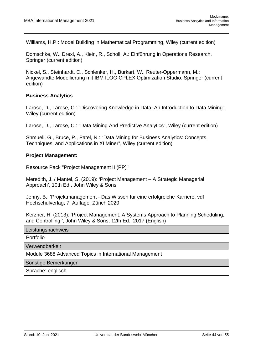Williams, H.P.: Model Building in Mathematical Programming, Wiley (current edition)

Domschke, W., Drexl, A., Klein, R., Scholl, A.: Einführung in Operations Research, Springer (current edition)

Nickel, S., Steinhardt, C., Schlenker, H., Burkart, W., Reuter-Oppermann, M.: Angewandte Modellierung mit IBM ILOG CPLEX Optimization Studio. Springer (current edition)

#### **Business Analytics**

Larose, D., Larose, C.: "Discovering Knowledge in Data: An Introduction to Data Mining", Wiley (current edition)

Larose, D., Larose, C.: "Data Mining And Predictive Analytics", Wiley (current edition)

Shmueli, G., Bruce, P., Patel, N.: "Data Mining for Business Analytics: Concepts, Techniques, and Applications in XLMiner", Wiley (current edition)

#### **Project Management:**

Resource Pack "Project Management II (PP)"

Meredith, J. / Mantel, S. (2019): 'Project Management – A Strategic Managerial Approach', 10th Ed., John Wiley & Sons

Jenny, B.: 'Projektmanagement - Das Wissen für eine erfolgreiche Karriere, vdf Hochschulverlag, 7. Auflage, Zürich 2020

Kerzner, H. (2013): 'Project Management: A Systems Approach to Planning,Scheduling, and Controlling ', John Wiley & Sons; 12th Ed., 2017 (English)

Leistungsnachweis

Portfolio

Verwendbarkeit

Module 3688 Advanced Topics in International Management

Sonstige Bemerkungen

Sprache: englisch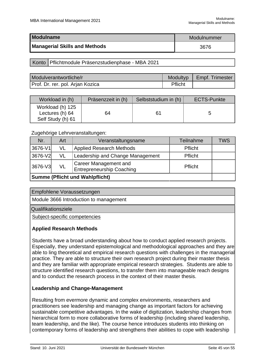<span id="page-45-0"></span>

| Modulname                            | Modulnummer |
|--------------------------------------|-------------|
| <b>Managerial Skills and Methods</b> | 3676        |

#### Konto | Pflichtmodule Präsenzstudienphase - MBA 2021

| Modulverantwortliche/r           |         | Modultyp   Empf. Trimester |
|----------------------------------|---------|----------------------------|
| Prof. Dr. rer. pol. Arjan Kozica | Pflicht |                            |

| Workload in (h)                                          | Präsenzzeit in (h) | Selbststudium in (h) | <b>ECTS-Punkte</b> |
|----------------------------------------------------------|--------------------|----------------------|--------------------|
| Workload (h) 125<br>Lectures (h) 64<br>Self Study (h) 61 | 64                 | 61                   |                    |

#### Zugehörige Lehrveranstaltungen:

| Nr.                                    | Art | Veranstaltungsname                                               | <b>Teilnahme</b> | <b>TWS</b> |
|----------------------------------------|-----|------------------------------------------------------------------|------------------|------------|
| 3676-V1                                | VL  | <b>Applied Research Methods</b>                                  | Pflicht          |            |
| 3676-V2                                | VL  | Leadership and Change Management                                 | <b>Pflicht</b>   |            |
| 3676-V3                                | VL  | <b>Career Management and</b><br><b>Entrepreneurship Coaching</b> | Pflicht          |            |
| <b>Summe (Pflicht und Wahlpflicht)</b> |     |                                                                  |                  |            |

Empfohlene Voraussetzungen

Module 3666 Introduction to management

Qualifikationsziele

Subject-specific competencies

#### **Applied Research Methods**

Students have a broad understanding about how to conduct applied research projects. Especially, they understand epistemological and methodological approaches and they are able to ling theoretical and empirical research questions with challenges in the managerial practice. They are able to structure their own research project during their master thesis and they are familiar with appropriate empirical research strategies. Students are able to structure identified research questions, to transfer them into manageable reach designs and to conduct the research process in the context of their master thesis.

#### **Leadership and Change-Management**

Resulting from evermore dynamic and complex environments, researchers and practitioners see leadership and managing change as important factors for achieving sustainable competitive advantages. In the wake of digitization, leadership changes from hierarchical form to more collaborative forms of leadership (including shared leadership, team leadership, and the like). The course hence introduces students into thinking on contemporary forms of leadership and strengthens their abilities to cope with leadership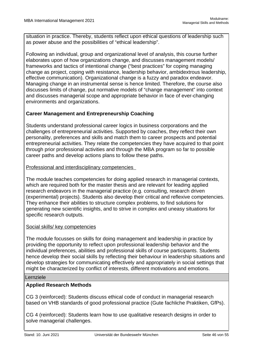situation in practice. Thereby, students reflect upon ethical questions of leadership such as power abuse and the possibilities of "ethical leadership".

Following an individual, group and organizational level of analysis, this course further elaborates upon of how organizations change, and discusses management models/ frameworks and tactics of intentional change ("best practices" for coping managing change as project, coping with resistance, leadership behavior, ambidextrous leadership, effective communication). Organizational change is a fuzzy and paradox endeavor. Managing change in an instrumental sense is hence limited. Therefore, the course also discusses limits of change, put normative models of "change management" into context and discusses managerial scope and appropriate behavior in face of ever-changing environments and organizations.

#### **Career Management and Entrepreneurship Coaching**

Students understand professional career logics in business corporations and the challenges of entrepreneurial activities. Supported by coaches, they reflect their own personality, preferences and skills and match them to career prospects and potential entrepreneurial activities. They relate the competencies they have acquired to that point through prior professional activities and through the MBA program so far to possible career paths and develop actions plans to follow these paths.

#### Professional and interdisciplinary competencies

The module teaches competencies for doing applied research in managerial contexts, which are required both for the master thesis and are relevant for leading applied research endeavors in the managerial practice (e.g. consulting, research driven (experimental) projects). Students also develop their critical and reflexive competencies. They enhance their abilities to structure complex problems, to find solutions for generating new scientific insights, and to strive in complex and uneasy situations for specific research outputs.

#### Social skills/ key competencies

The module focusses on skills for doing management and leadership in practice by providing the opportunity to reflect upon professional leadership behavior and the individual preferences, abilities and professional skills of course participants. Students hence develop their social skills by reflecting their behaviour in leadership situations and develop strategies for communicating effectively and appropriately in social settings that might be characterized by conflict of interests, different motivations and emotions.

#### Lernziele

#### **Applied Research Methods**

CG 3 (reinforced): Students discuss ethical code of conduct in managerial research based on VHB standards of good professional practice (Gute fachliche Praktiken, GfPs).

CG 4 (reinforced): Students learn how to use qualitative research designs in order to solve managerial challenges.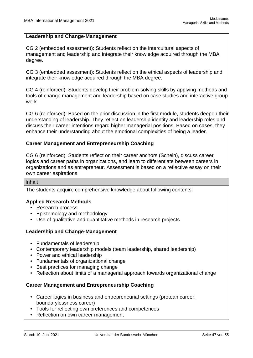#### **Leadership and Change-Management**

CG 2 (embedded assesment): Students reflect on the intercultural aspects of management and leadership and integrate their knowledge acquired through the MBA degree.

CG 3 (embedded assesment): Students reflect on the ethical aspects of leadership and integrate their knowledge acquired through the MBA degree.

CG 4 (reinforced): Students develop their problem-solving skills by applying methods and tools of change management and leadership based on case studies and interactive group work.

CG 6 (reinforced): Based on the prior discussion in the first module, students deepen their understanding of leadership. They reflect on leadership identity and leadership roles and discuss their career intentions regard higher managerial positions. Based on cases, they enhance their understanding about the emotional complexities of being a leader.

#### **Career Management and Entrepreneurship Coaching**

CG 6 (reinforced): Students reflect on their career anchors (Schein), discuss career logics and career paths in organizations, and learn to differentiate between careers in organizations and as entrepreneur. Assessment is based on a reflective essay on their own career aspirations.

#### Inhalt

The students acquire comprehensive knowledge about following contents:

#### **Applied Research Methods**

- Research process
- Epistemology and methodology
- Use of qualitative and quantitative methods in research projects

#### **Leadership and Change-Management**

- Fundamentals of leadership
- Contemporary leadership models (team leadership, shared leadership)
- Power and ethical leadership
- Fundamentals of organizational change
- Best practices for managing change
- Reflection about limits of a managerial approach towards organizational change

#### **Career Management and Entrepreneurship Coaching**

- Career logics in business and entrepreneurial settings (protean career, boundarylessness career)
- Tools for reflecting own preferences and competences
- Reflection on own career management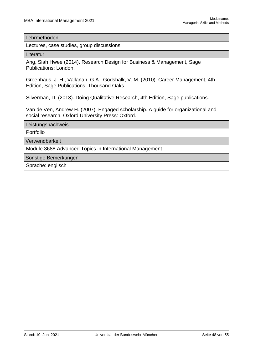#### Lehrmethoden

Lectures, case studies, group discussions

**Literatur** 

Ang, Siah Hwee (2014). Research Design for Business & Management, Sage Publications: London.

Greenhaus, J. H., Vallanan, G.A., Godshalk, V. M. (2010). Career Management, 4th Edition, Sage Publications: Thousand Oaks.

Silverman, D. (2013). Doing Qualitative Research, 4th Edition, Sage publications.

Van de Ven, Andrew H. (2007). Engaged scholarship. A guide for organizational and social research. Oxford University Press: Oxford.

Leistungsnachweis

Portfolio

Verwendbarkeit

Module 3688 Advanced Topics in International Management

Sonstige Bemerkungen

Sprache: englisch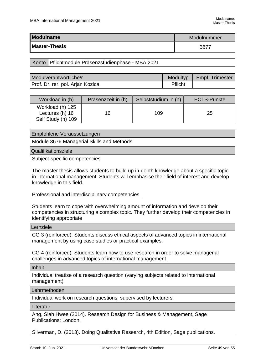<span id="page-49-0"></span>

| Modulname            | Modulnummer |
|----------------------|-------------|
| <b>Master-Thesis</b> | 3677        |

#### Konto | Pflichtmodule Präsenzstudienphase - MBA 2021

| Modulverantwortliche/r           | Modultyp | Empf. Trimester |
|----------------------------------|----------|-----------------|
| Prof. Dr. rer. pol. Arjan Kozica | Pflicht  |                 |

| Workload in (h)                                           | Präsenzzeit in (h) | Selbststudium in (h) | <b>ECTS-Punkte</b> |
|-----------------------------------------------------------|--------------------|----------------------|--------------------|
| Workload (h) 125<br>Lectures (h) 16<br>Self Study (h) 109 | 16                 | 109                  | 25                 |

#### Empfohlene Voraussetzungen

Module 3676 Managerial Skills and Methods

Qualifikationsziele

Subject-specific competencies

The master thesis allows students to build up in-depth knowledge about a specific topic in international management. Students will emphasise their field of interest and develop knowledge in this field.

Professional and interdisciplinary competencies

Students learn to cope with overwhelming amount of information and develop their competencies in structuring a complex topic. They further develop their competencies in identifying appropriate

#### Lernziele

CG 3 (reinforced): Students discuss ethical aspects of advanced topics in international management by using case studies or practical examples.

CG 4 (reinforced): Students learn how to use research in order to solve managerial challenges in advanced topics of international management.

Inhalt

Individual treatise of a research question (varying subjects related to international management)

#### Lehrmethoden

Individual work on research questions, supervised by lecturers

**Literatur** 

Ang, Siah Hwee (2014). Research Design for Business & Management, Sage Publications: London.

Silverman, D. (2013). Doing Qualitative Research, 4th Edition, Sage publications.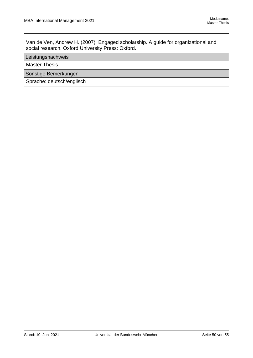Van de Ven, Andrew H. (2007). Engaged scholarship. A guide for organizational and social research. Oxford University Press: Oxford.

#### Leistungsnachweis

Master Thesis

Sonstige Bemerkungen

Sprache: deutsch/englisch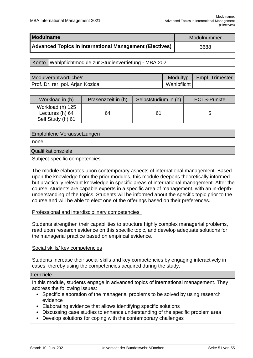<span id="page-51-0"></span>

| Modulname                                                      | Modulnummer |
|----------------------------------------------------------------|-------------|
| <b>Advanced Topics in International Management (Electives)</b> | 3688        |

#### Konto | Wahlpflichtmodule zur Studienvertiefung - MBA 2021

| Modulverantwortliche/r           |             | Modultyp   Empf. Trimester |
|----------------------------------|-------------|----------------------------|
| Prof. Dr. rer. pol. Arjan Kozica | Wahlpflicht |                            |

| Workload in (h)                                          | Präsenzzeit in (h) | Selbststudium in (h) | <b>ECTS-Punkte</b> |
|----------------------------------------------------------|--------------------|----------------------|--------------------|
| Workload (h) 125<br>Lectures (h) 64<br>Self Study (h) 61 | 64                 | 61                   |                    |

#### Empfohlene Voraussetzungen

none

#### Qualifikationsziele

Subject-specific competencies

The module elaborates upon contemporary aspects of international management. Based upon the knowledge from the prior modules, this module deepens theoretically informed but practically relevant knowledge in specific areas of international management. After the course, students are capable experts in a specific area of management, with an in-depthunderstanding of the topics. Students will be informed about the specific topic prior to the course and will be able to elect one of the offerings based on their preferences.

Professional and interdisciplinary competencies

Students strengthen their capabilities to structure highly complex managerial problems, read upon research evidence on this specific topic, and develop adequate solutions for the managerial practice based on empirical evidence.

#### Social skills/ key competencies

Students increase their social skills and key competencies by engaging interactively in cases, thereby using the competencies acquired during the study.

#### Lernziele

In this module, students engage in advanced topics of international management. They address the following issues:

- Specific elaboration of the managerial problems to be solved by using research evidence
- Elaborating evidence that allows identifying specific solutions
- Discussing case studies to enhance understanding of the specific problem area
- Develop solutions for coping with the contemporary challenges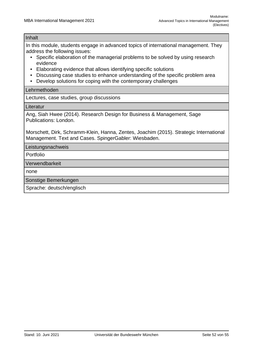#### Inhalt

In this module, students engage in advanced topics of international management. They address the following issues:

- Specific elaboration of the managerial problems to be solved by using research evidence
- Elaborating evidence that allows identifying specific solutions
- Discussing case studies to enhance understanding of the specific problem area
- Develop solutions for coping with the contemporary challenges

#### Lehrmethoden

Lectures, case studies, group discussions

#### **Literatur**

Ang, Siah Hwee (2014). Research Design for Business & Management, Sage Publications: London.

Morschett, Dirk, Schramm-Klein, Hanna, Zentes, Joachim (2015). Strategic International Management. Text and Cases. SpingerGabler: Wiesbaden.

Leistungsnachweis

Portfolio

Verwendbarkeit

none

Sonstige Bemerkungen

Sprache: deutsch/englisch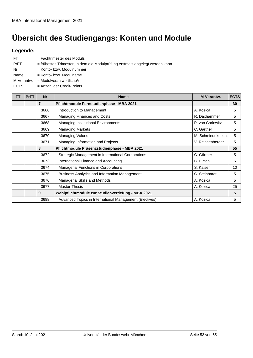# <span id="page-53-0"></span>**Übersicht des Studiengangs: Konten und Module**

## **Legende:**

| FT.         | $=$ Fachtrimester des Moduls                                                 |
|-------------|------------------------------------------------------------------------------|
| PrFT        | = frühestes Trimester, in dem die Modulprüfung erstmals abgelegt werden kann |
| Nr          | = Konto- bzw. Modulnummer                                                    |
| Name        | $=$ Konto- bzw. Modulname                                                    |
| M-Verantw.  | $=$ Modulverantwortliche/r                                                   |
| <b>ECTS</b> | $=$ Anzahl der Credit-Points                                                 |
|             |                                                                              |

| <b>FT</b> | <b>PrFT</b> | <b>Nr</b>      | <b>Name</b>                                             | <b>M-Verantw.</b> | <b>ECTS</b> |
|-----------|-------------|----------------|---------------------------------------------------------|-------------------|-------------|
|           |             | $\overline{7}$ | Pflichtmodule Fernstudienphase - MBA 2021               |                   | 30          |
|           |             | 3666           | Introduction to Management                              | A. Kozica         | 5           |
|           |             | 3667           | Managing Finances and Costs                             | R. Daxhammer      | 5           |
|           |             | 3668           | Managing Institutional Environments                     | P. von Carlowitz  | 5           |
|           |             | 3669           | <b>Managing Markets</b>                                 | C. Gärtner        | 5           |
|           |             | 3670           | <b>Managing Values</b>                                  | M. Schmiedeknecht | 5           |
|           |             | 3671           | Managing Information and Projects                       | V. Reichenberger  | 5           |
|           |             | 8              | Pflichtmodule Präsenzstudienphase - MBA 2021            |                   | 55          |
|           |             | 3672           | Strategic Management in International Corporations      | C. Gärtner        | 5           |
|           |             | 3673           | International Finance and Accounting                    | B. Hirsch         | 5           |
|           |             | 3674           | Managerial Functions in Corporations                    | S. Kaiser         | 10          |
|           |             | 3675           | Business Analytics and Information Management           | C. Steinhardt     | 5           |
|           |             | 3676           | <b>Managerial Skills and Methods</b>                    | A. Kozica         | 5           |
|           |             | 3677           | Master-Thesis                                           | A. Kozica         | 25          |
|           |             | 9              | Wahlpflichtmodule zur Studienvertiefung - MBA 2021      |                   | 5           |
|           |             | 3688           | Advanced Topics in International Management (Electives) | A. Kozica         | 5           |